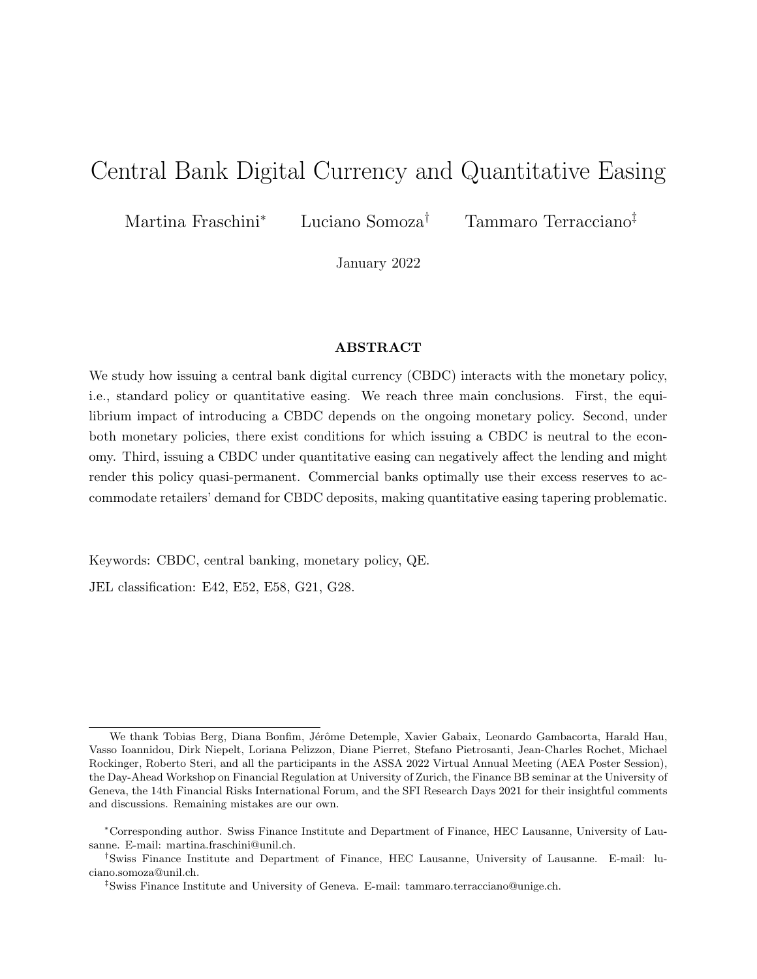# Central Bank Digital Currency and Quantitative Easing

Martina Fraschini<sup>∗</sup> Luciano Somoza† Tammaro Terracciano‡

January 2022

#### ABSTRACT

We study how issuing a central bank digital currency (CBDC) interacts with the monetary policy, i.e., standard policy or quantitative easing. We reach three main conclusions. First, the equilibrium impact of introducing a CBDC depends on the ongoing monetary policy. Second, under both monetary policies, there exist conditions for which issuing a CBDC is neutral to the economy. Third, issuing a CBDC under quantitative easing can negatively affect the lending and might render this policy quasi-permanent. Commercial banks optimally use their excess reserves to accommodate retailers' demand for CBDC deposits, making quantitative easing tapering problematic.

Keywords: CBDC, central banking, monetary policy, QE.

JEL classification: E42, E52, E58, G21, G28.

We thank Tobias Berg, Diana Bonfim, Jérôme Detemple, Xavier Gabaix, Leonardo Gambacorta, Harald Hau, Vasso Ioannidou, Dirk Niepelt, Loriana Pelizzon, Diane Pierret, Stefano Pietrosanti, Jean-Charles Rochet, Michael Rockinger, Roberto Steri, and all the participants in the ASSA 2022 Virtual Annual Meeting (AEA Poster Session), the Day-Ahead Workshop on Financial Regulation at University of Zurich, the Finance BB seminar at the University of Geneva, the 14th Financial Risks International Forum, and the SFI Research Days 2021 for their insightful comments and discussions. Remaining mistakes are our own.

<sup>∗</sup>Corresponding author. Swiss Finance Institute and Department of Finance, HEC Lausanne, University of Lausanne. E-mail: martina.fraschini@unil.ch.

<sup>†</sup>Swiss Finance Institute and Department of Finance, HEC Lausanne, University of Lausanne. E-mail: luciano.somoza@unil.ch.

<sup>‡</sup>Swiss Finance Institute and University of Geneva. E-mail: tammaro.terracciano@unige.ch.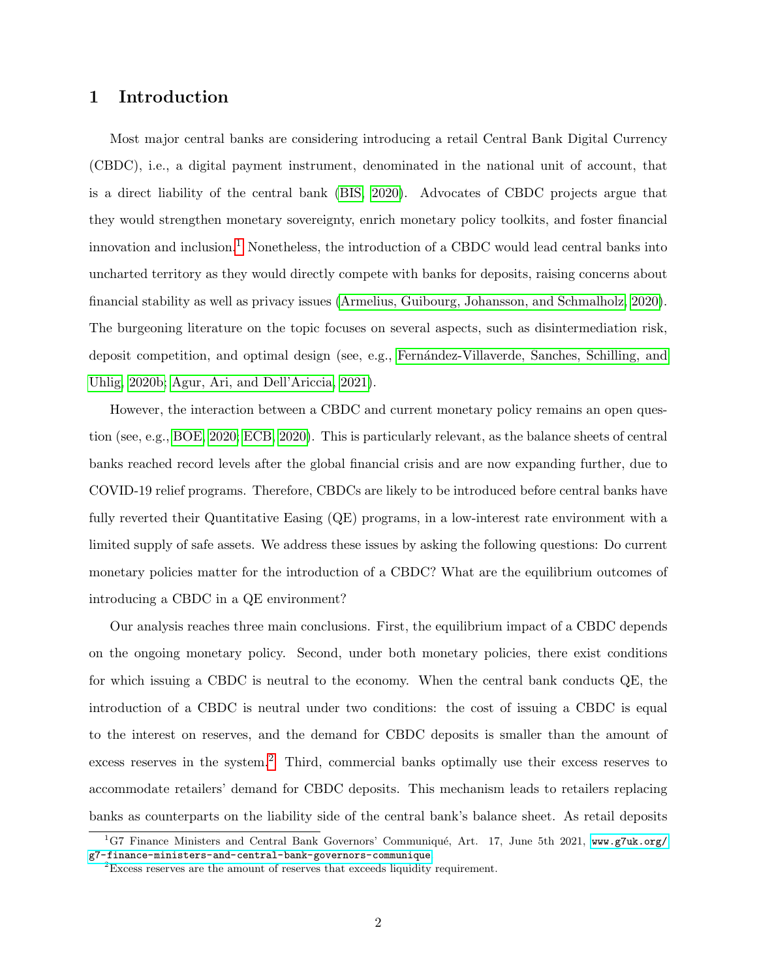# 1 Introduction

Most major central banks are considering introducing a retail Central Bank Digital Currency (CBDC), i.e., a digital payment instrument, denominated in the national unit of account, that is a direct liability of the central bank [\(BIS, 2020\)](#page-28-0). Advocates of CBDC projects argue that they would strengthen monetary sovereignty, enrich monetary policy toolkits, and foster financial innovation and inclusion.[1](#page-1-0) Nonetheless, the introduction of a CBDC would lead central banks into uncharted territory as they would directly compete with banks for deposits, raising concerns about financial stability as well as privacy issues [\(Armelius, Guibourg, Johansson, and Schmalholz, 2020\)](#page-28-1). The burgeoning literature on the topic focuses on several aspects, such as disintermediation risk, deposit competition, and optimal design (see, e.g., Fernandez-Villaverde, Sanches, Schilling, and [Uhlig, 2020b;](#page-28-2) [Agur, Ari, and Dell'Ariccia, 2021\)](#page-28-3).

However, the interaction between a CBDC and current monetary policy remains an open question (see, e.g., [BOE, 2020;](#page-28-4) [ECB, 2020\)](#page-28-5). This is particularly relevant, as the balance sheets of central banks reached record levels after the global financial crisis and are now expanding further, due to COVID-19 relief programs. Therefore, CBDCs are likely to be introduced before central banks have fully reverted their Quantitative Easing (QE) programs, in a low-interest rate environment with a limited supply of safe assets. We address these issues by asking the following questions: Do current monetary policies matter for the introduction of a CBDC? What are the equilibrium outcomes of introducing a CBDC in a QE environment?

Our analysis reaches three main conclusions. First, the equilibrium impact of a CBDC depends on the ongoing monetary policy. Second, under both monetary policies, there exist conditions for which issuing a CBDC is neutral to the economy. When the central bank conducts QE, the introduction of a CBDC is neutral under two conditions: the cost of issuing a CBDC is equal to the interest on reserves, and the demand for CBDC deposits is smaller than the amount of excess reserves in the system.<sup>[2](#page-1-1)</sup> Third, commercial banks optimally use their excess reserves to accommodate retailers' demand for CBDC deposits. This mechanism leads to retailers replacing banks as counterparts on the liability side of the central bank's balance sheet. As retail deposits

<span id="page-1-0"></span><sup>&</sup>lt;sup>1</sup>G7 Finance Ministers and Central Bank Governors' Communiqué, Art. 17, June 5th 2021, [www.g7uk.org/](www.g7uk.org/g7-finance-ministers-and-central-bank-governors-communique) [g7-finance-ministers-and-central-bank-governors-communique](www.g7uk.org/g7-finance-ministers-and-central-bank-governors-communique).

<span id="page-1-1"></span> ${}^{2}$ Excess reserves are the amount of reserves that exceeds liquidity requirement.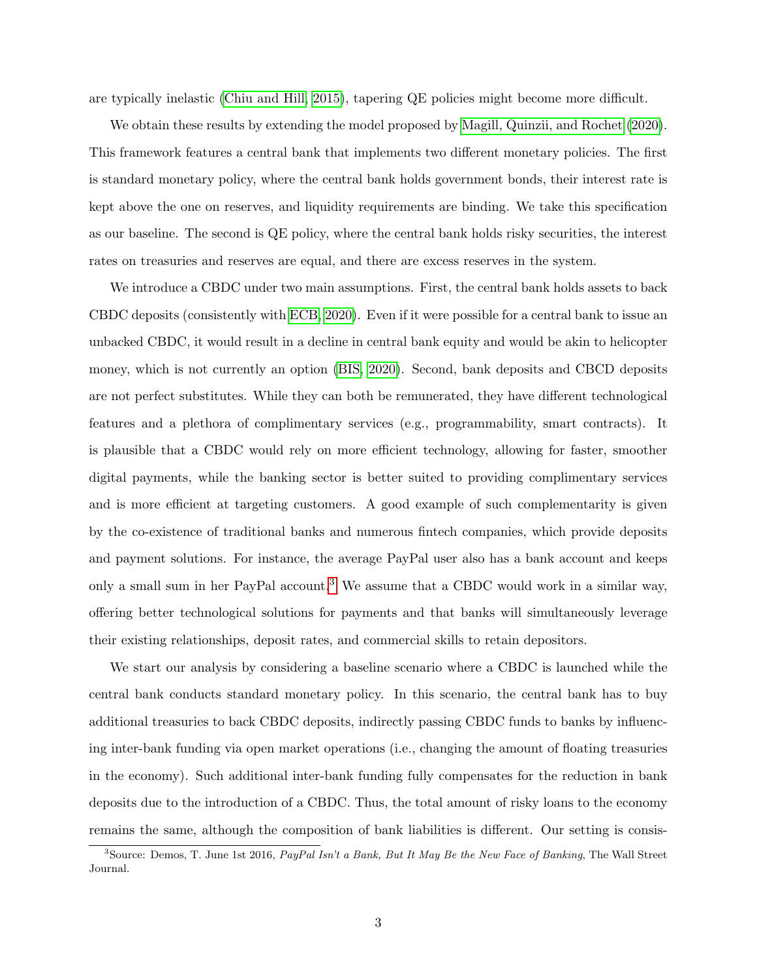are typically inelastic [\(Chiu and Hill, 2015\)](#page-28-6), tapering QE policies might become more difficult.

We obtain these results by extending the model proposed by [Magill, Quinzii, and Rochet](#page-29-0) [\(2020\)](#page-29-0). This framework features a central bank that implements two different monetary policies. The first is standard monetary policy, where the central bank holds government bonds, their interest rate is kept above the one on reserves, and liquidity requirements are binding. We take this specification as our baseline. The second is QE policy, where the central bank holds risky securities, the interest rates on treasuries and reserves are equal, and there are excess reserves in the system.

We introduce a CBDC under two main assumptions. First, the central bank holds assets to back CBDC deposits (consistently with [ECB, 2020\)](#page-28-5). Even if it were possible for a central bank to issue an unbacked CBDC, it would result in a decline in central bank equity and would be akin to helicopter money, which is not currently an option [\(BIS, 2020\)](#page-28-0). Second, bank deposits and CBCD deposits are not perfect substitutes. While they can both be remunerated, they have different technological features and a plethora of complimentary services (e.g., programmability, smart contracts). It is plausible that a CBDC would rely on more efficient technology, allowing for faster, smoother digital payments, while the banking sector is better suited to providing complimentary services and is more efficient at targeting customers. A good example of such complementarity is given by the co-existence of traditional banks and numerous fintech companies, which provide deposits and payment solutions. For instance, the average PayPal user also has a bank account and keeps only a small sum in her PayPal account.<sup>[3](#page-2-0)</sup> We assume that a CBDC would work in a similar way, offering better technological solutions for payments and that banks will simultaneously leverage their existing relationships, deposit rates, and commercial skills to retain depositors.

We start our analysis by considering a baseline scenario where a CBDC is launched while the central bank conducts standard monetary policy. In this scenario, the central bank has to buy additional treasuries to back CBDC deposits, indirectly passing CBDC funds to banks by influencing inter-bank funding via open market operations (i.e., changing the amount of floating treasuries in the economy). Such additional inter-bank funding fully compensates for the reduction in bank deposits due to the introduction of a CBDC. Thus, the total amount of risky loans to the economy remains the same, although the composition of bank liabilities is different. Our setting is consis-

<span id="page-2-0"></span> $3$ Source: Demos, T. June 1st 2016, PayPal Isn't a Bank, But It May Be the New Face of Banking, The Wall Street Journal.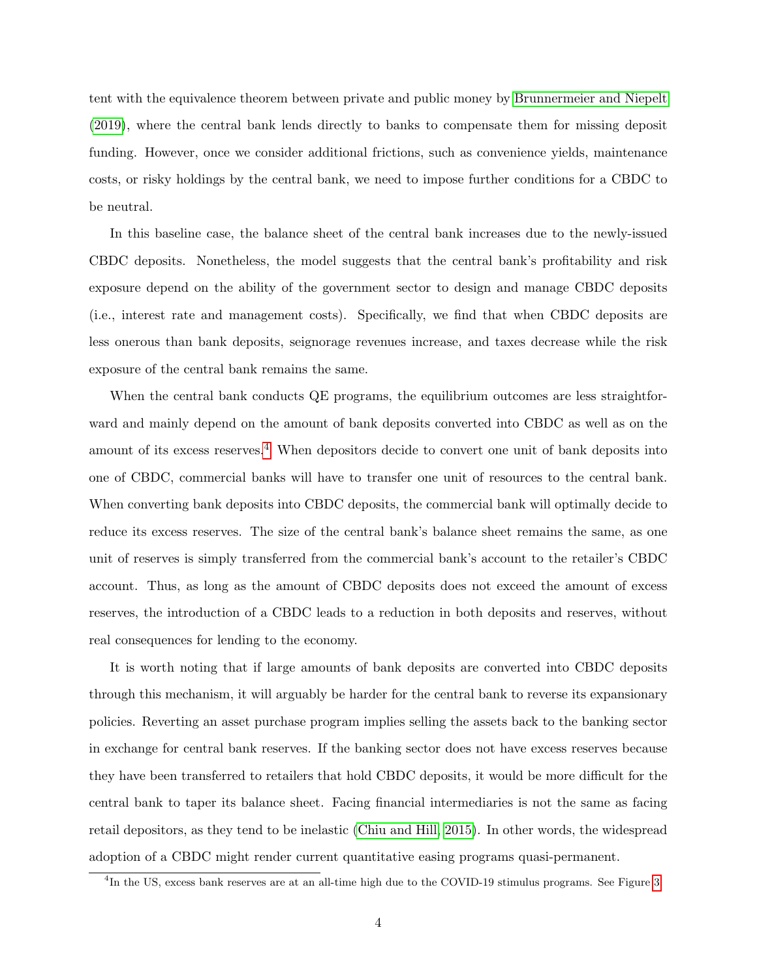tent with the equivalence theorem between private and public money by [Brunnermeier and Niepelt](#page-28-7) [\(2019\)](#page-28-7), where the central bank lends directly to banks to compensate them for missing deposit funding. However, once we consider additional frictions, such as convenience yields, maintenance costs, or risky holdings by the central bank, we need to impose further conditions for a CBDC to be neutral.

In this baseline case, the balance sheet of the central bank increases due to the newly-issued CBDC deposits. Nonetheless, the model suggests that the central bank's profitability and risk exposure depend on the ability of the government sector to design and manage CBDC deposits (i.e., interest rate and management costs). Specifically, we find that when CBDC deposits are less onerous than bank deposits, seignorage revenues increase, and taxes decrease while the risk exposure of the central bank remains the same.

When the central bank conducts QE programs, the equilibrium outcomes are less straightforward and mainly depend on the amount of bank deposits converted into CBDC as well as on the amount of its excess reserves.<sup>[4](#page-3-0)</sup> When depositors decide to convert one unit of bank deposits into one of CBDC, commercial banks will have to transfer one unit of resources to the central bank. When converting bank deposits into CBDC deposits, the commercial bank will optimally decide to reduce its excess reserves. The size of the central bank's balance sheet remains the same, as one unit of reserves is simply transferred from the commercial bank's account to the retailer's CBDC account. Thus, as long as the amount of CBDC deposits does not exceed the amount of excess reserves, the introduction of a CBDC leads to a reduction in both deposits and reserves, without real consequences for lending to the economy.

It is worth noting that if large amounts of bank deposits are converted into CBDC deposits through this mechanism, it will arguably be harder for the central bank to reverse its expansionary policies. Reverting an asset purchase program implies selling the assets back to the banking sector in exchange for central bank reserves. If the banking sector does not have excess reserves because they have been transferred to retailers that hold CBDC deposits, it would be more difficult for the central bank to taper its balance sheet. Facing financial intermediaries is not the same as facing retail depositors, as they tend to be inelastic [\(Chiu and Hill, 2015\)](#page-28-6). In other words, the widespread adoption of a CBDC might render current quantitative easing programs quasi-permanent.

<span id="page-3-0"></span><sup>&</sup>lt;sup>4</sup>In the US, excess bank reserves are at an all-time high due to the COVID-19 stimulus programs. See Figure [3.](#page-22-0)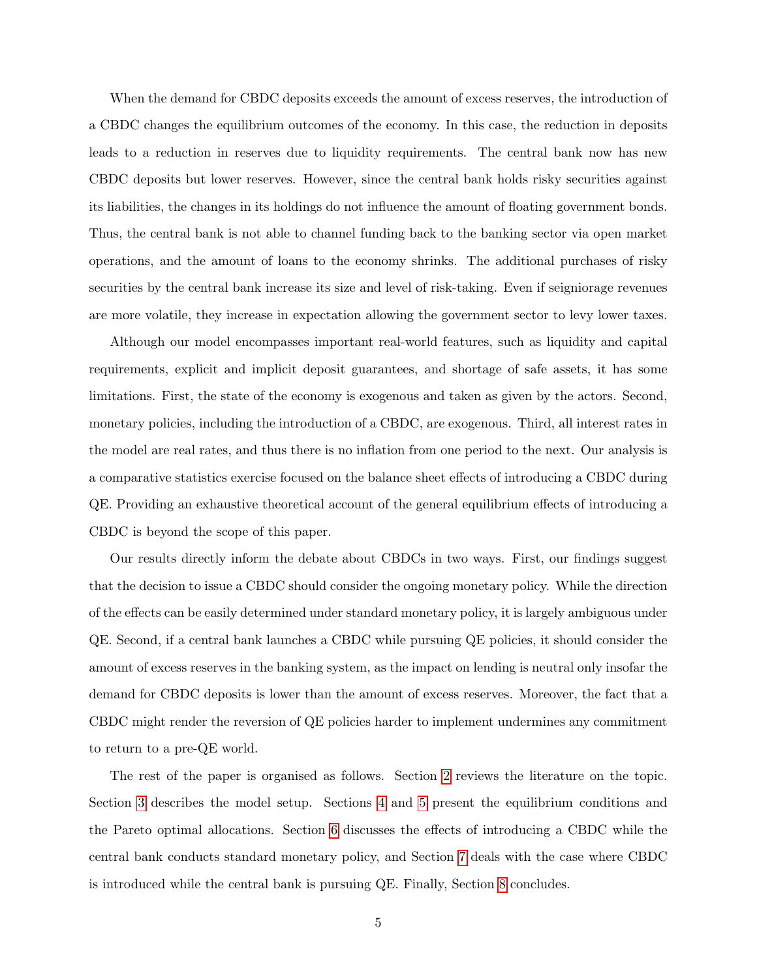When the demand for CBDC deposits exceeds the amount of excess reserves, the introduction of a CBDC changes the equilibrium outcomes of the economy. In this case, the reduction in deposits leads to a reduction in reserves due to liquidity requirements. The central bank now has new CBDC deposits but lower reserves. However, since the central bank holds risky securities against its liabilities, the changes in its holdings do not influence the amount of floating government bonds. Thus, the central bank is not able to channel funding back to the banking sector via open market operations, and the amount of loans to the economy shrinks. The additional purchases of risky securities by the central bank increase its size and level of risk-taking. Even if seigniorage revenues are more volatile, they increase in expectation allowing the government sector to levy lower taxes.

Although our model encompasses important real-world features, such as liquidity and capital requirements, explicit and implicit deposit guarantees, and shortage of safe assets, it has some limitations. First, the state of the economy is exogenous and taken as given by the actors. Second, monetary policies, including the introduction of a CBDC, are exogenous. Third, all interest rates in the model are real rates, and thus there is no inflation from one period to the next. Our analysis is a comparative statistics exercise focused on the balance sheet effects of introducing a CBDC during QE. Providing an exhaustive theoretical account of the general equilibrium effects of introducing a CBDC is beyond the scope of this paper.

Our results directly inform the debate about CBDCs in two ways. First, our findings suggest that the decision to issue a CBDC should consider the ongoing monetary policy. While the direction of the effects can be easily determined under standard monetary policy, it is largely ambiguous under QE. Second, if a central bank launches a CBDC while pursuing QE policies, it should consider the amount of excess reserves in the banking system, as the impact on lending is neutral only insofar the demand for CBDC deposits is lower than the amount of excess reserves. Moreover, the fact that a CBDC might render the reversion of QE policies harder to implement undermines any commitment to return to a pre-QE world.

The rest of the paper is organised as follows. Section [2](#page-5-0) reviews the literature on the topic. Section [3](#page-7-0) describes the model setup. Sections [4](#page-13-0) and [5](#page-18-0) present the equilibrium conditions and the Pareto optimal allocations. Section [6](#page-19-0) discusses the effects of introducing a CBDC while the central bank conducts standard monetary policy, and Section [7](#page-21-0) deals with the case where CBDC is introduced while the central bank is pursuing QE. Finally, Section [8](#page-27-0) concludes.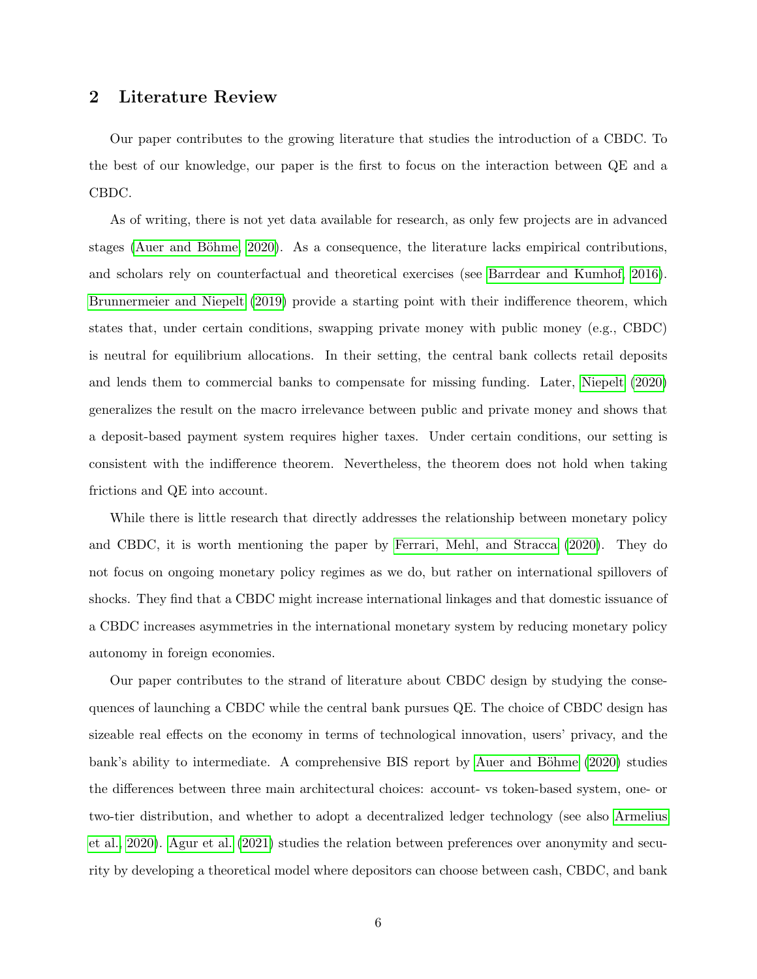# <span id="page-5-0"></span>2 Literature Review

Our paper contributes to the growing literature that studies the introduction of a CBDC. To the best of our knowledge, our paper is the first to focus on the interaction between QE and a CBDC.

As of writing, there is not yet data available for research, as only few projects are in advanced stages (Auer and Böhme, 2020). As a consequence, the literature lacks empirical contributions, and scholars rely on counterfactual and theoretical exercises (see [Barrdear and Kumhof, 2016\)](#page-28-9). [Brunnermeier and Niepelt](#page-28-7) [\(2019\)](#page-28-7) provide a starting point with their indifference theorem, which states that, under certain conditions, swapping private money with public money (e.g., CBDC) is neutral for equilibrium allocations. In their setting, the central bank collects retail deposits and lends them to commercial banks to compensate for missing funding. Later, [Niepelt](#page-29-1) [\(2020\)](#page-29-1) generalizes the result on the macro irrelevance between public and private money and shows that a deposit-based payment system requires higher taxes. Under certain conditions, our setting is consistent with the indifference theorem. Nevertheless, the theorem does not hold when taking frictions and QE into account.

While there is little research that directly addresses the relationship between monetary policy and CBDC, it is worth mentioning the paper by [Ferrari, Mehl, and Stracca](#page-29-2) [\(2020\)](#page-29-2). They do not focus on ongoing monetary policy regimes as we do, but rather on international spillovers of shocks. They find that a CBDC might increase international linkages and that domestic issuance of a CBDC increases asymmetries in the international monetary system by reducing monetary policy autonomy in foreign economies.

Our paper contributes to the strand of literature about CBDC design by studying the consequences of launching a CBDC while the central bank pursues QE. The choice of CBDC design has sizeable real effects on the economy in terms of technological innovation, users' privacy, and the bank's ability to intermediate. A comprehensive BIS report by Auer and Böhme [\(2020\)](#page-28-8) studies the differences between three main architectural choices: account- vs token-based system, one- or two-tier distribution, and whether to adopt a decentralized ledger technology (see also [Armelius](#page-28-1) [et al., 2020\)](#page-28-1). [Agur et al.](#page-28-3) [\(2021\)](#page-28-3) studies the relation between preferences over anonymity and security by developing a theoretical model where depositors can choose between cash, CBDC, and bank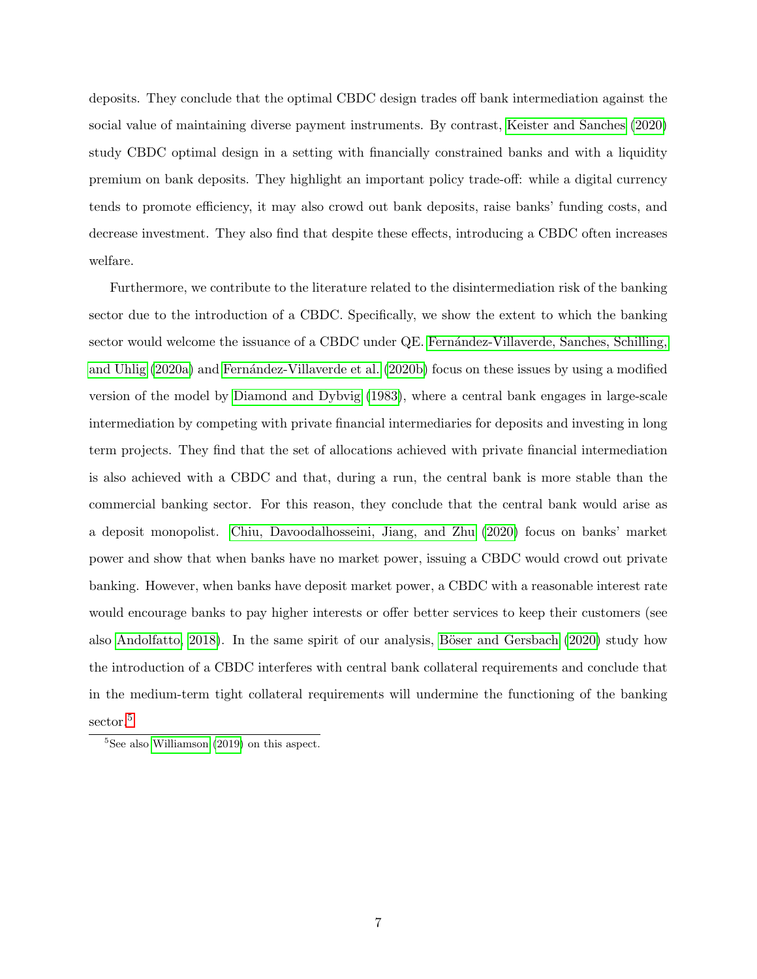deposits. They conclude that the optimal CBDC design trades off bank intermediation against the social value of maintaining diverse payment instruments. By contrast, [Keister and Sanches](#page-29-3) [\(2020\)](#page-29-3) study CBDC optimal design in a setting with financially constrained banks and with a liquidity premium on bank deposits. They highlight an important policy trade-off: while a digital currency tends to promote efficiency, it may also crowd out bank deposits, raise banks' funding costs, and decrease investment. They also find that despite these effects, introducing a CBDC often increases welfare.

Furthermore, we contribute to the literature related to the disintermediation risk of the banking sector due to the introduction of a CBDC. Specifically, we show the extent to which the banking sector would welcome the issuance of a CBDC under QE. Fernandez-Villaverde, Sanches, Schilling, [and Uhlig](#page-28-10) [\(2020a\)](#page-28-10) and Fernández-Villaverde et al. [\(2020b\)](#page-28-2) focus on these issues by using a modified version of the model by [Diamond and Dybvig](#page-28-11) [\(1983\)](#page-28-11), where a central bank engages in large-scale intermediation by competing with private financial intermediaries for deposits and investing in long term projects. They find that the set of allocations achieved with private financial intermediation is also achieved with a CBDC and that, during a run, the central bank is more stable than the commercial banking sector. For this reason, they conclude that the central bank would arise as a deposit monopolist. [Chiu, Davoodalhosseini, Jiang, and Zhu](#page-28-12) [\(2020\)](#page-28-12) focus on banks' market power and show that when banks have no market power, issuing a CBDC would crowd out private banking. However, when banks have deposit market power, a CBDC with a reasonable interest rate would encourage banks to pay higher interests or offer better services to keep their customers (see also [Andolfatto, 2018\)](#page-28-13). In the same spirit of our analysis, Böser and Gersbach  $(2020)$  study how the introduction of a CBDC interferes with central bank collateral requirements and conclude that in the medium-term tight collateral requirements will undermine the functioning of the banking sector.<sup>[5](#page-6-0)</sup>

<span id="page-6-0"></span> $5$ See also [Williamson](#page-29-4) [\(2019\)](#page-29-4) on this aspect.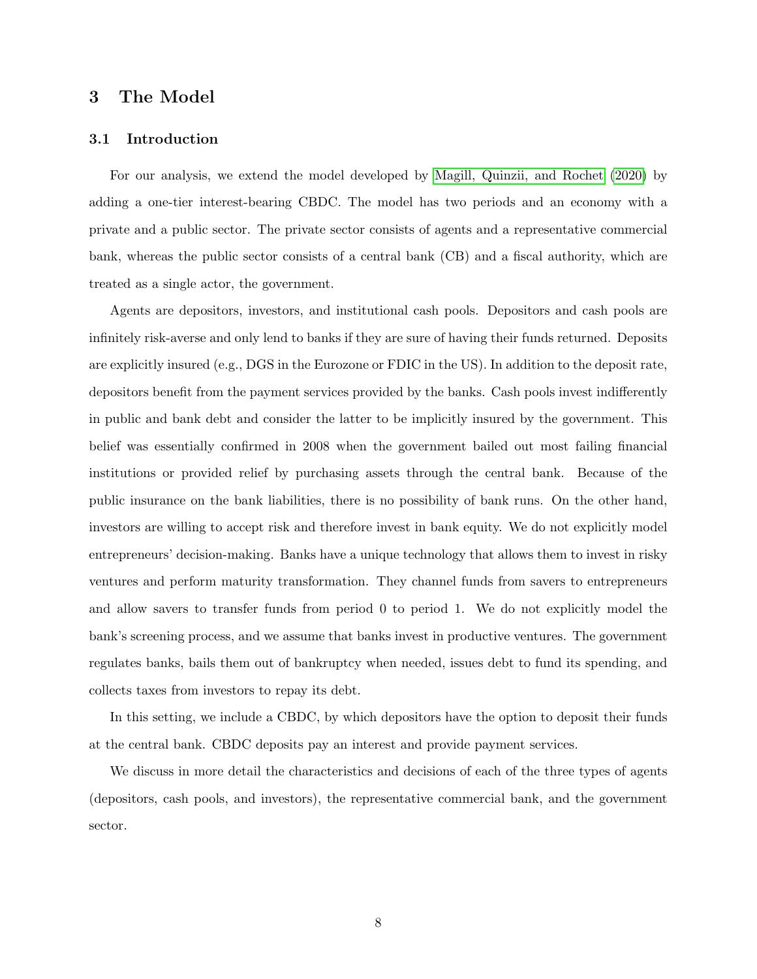## <span id="page-7-0"></span>3 The Model

#### 3.1 Introduction

For our analysis, we extend the model developed by [Magill, Quinzii, and Rochet](#page-29-0) [\(2020\)](#page-29-0) by adding a one-tier interest-bearing CBDC. The model has two periods and an economy with a private and a public sector. The private sector consists of agents and a representative commercial bank, whereas the public sector consists of a central bank (CB) and a fiscal authority, which are treated as a single actor, the government.

Agents are depositors, investors, and institutional cash pools. Depositors and cash pools are infinitely risk-averse and only lend to banks if they are sure of having their funds returned. Deposits are explicitly insured (e.g., DGS in the Eurozone or FDIC in the US). In addition to the deposit rate, depositors benefit from the payment services provided by the banks. Cash pools invest indifferently in public and bank debt and consider the latter to be implicitly insured by the government. This belief was essentially confirmed in 2008 when the government bailed out most failing financial institutions or provided relief by purchasing assets through the central bank. Because of the public insurance on the bank liabilities, there is no possibility of bank runs. On the other hand, investors are willing to accept risk and therefore invest in bank equity. We do not explicitly model entrepreneurs' decision-making. Banks have a unique technology that allows them to invest in risky ventures and perform maturity transformation. They channel funds from savers to entrepreneurs and allow savers to transfer funds from period 0 to period 1. We do not explicitly model the bank's screening process, and we assume that banks invest in productive ventures. The government regulates banks, bails them out of bankruptcy when needed, issues debt to fund its spending, and collects taxes from investors to repay its debt.

In this setting, we include a CBDC, by which depositors have the option to deposit their funds at the central bank. CBDC deposits pay an interest and provide payment services.

We discuss in more detail the characteristics and decisions of each of the three types of agents (depositors, cash pools, and investors), the representative commercial bank, and the government sector.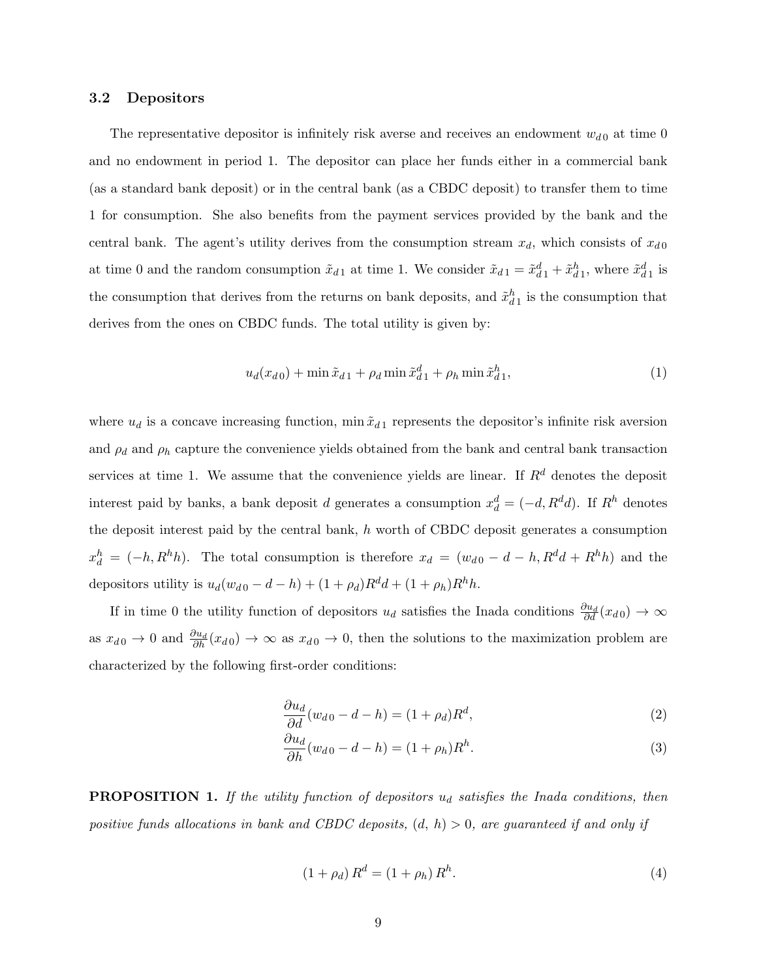#### 3.2 Depositors

The representative depositor is infinitely risk averse and receives an endowment  $w_{d0}$  at time 0 and no endowment in period 1. The depositor can place her funds either in a commercial bank (as a standard bank deposit) or in the central bank (as a CBDC deposit) to transfer them to time 1 for consumption. She also benefits from the payment services provided by the bank and the central bank. The agent's utility derives from the consumption stream  $x_d$ , which consists of  $x_{d0}$ at time 0 and the random consumption  $\tilde{x}_{d1}$  at time 1. We consider  $\tilde{x}_{d1} = \tilde{x}_{d1}^d + \tilde{x}_{d1}^h$ , where  $\tilde{x}_{d1}^d$  is the consumption that derives from the returns on bank deposits, and  $\tilde{x}_{d}^{h}$  is the consumption that derives from the ones on CBDC funds. The total utility is given by:

$$
u_d(x_{d0}) + \min \tilde{x}_{d1} + \rho_d \min \tilde{x}_{d1}^d + \rho_h \min \tilde{x}_{d1}^h,
$$
\n(1)

where  $u_d$  is a concave increasing function, min  $\tilde{x}_{d1}$  represents the depositor's infinite risk aversion and  $\rho_d$  and  $\rho_h$  capture the convenience yields obtained from the bank and central bank transaction services at time 1. We assume that the convenience yields are linear. If  $R<sup>d</sup>$  denotes the deposit interest paid by banks, a bank deposit d generates a consumption  $x_d^d = (-d, R^d d)$ . If  $R^h$  denotes the deposit interest paid by the central bank, h worth of CBDC deposit generates a consumption  $x_d^h = (-h, R^h h)$ . The total consumption is therefore  $x_d = (w_{d0} - d - h, R^d d + R^h h)$  and the depositors utility is  $u_d(w_{d0} - d - h) + (1 + \rho_d)R^d d + (1 + \rho_h)R^h h$ .

If in time 0 the utility function of depositors  $u_d$  satisfies the Inada conditions  $\frac{\partial u_d}{\partial d}(x_{d0}) \to \infty$ as  $x_{d0} \to 0$  and  $\frac{\partial u_d}{\partial h}(x_{d0}) \to \infty$  as  $x_{d0} \to 0$ , then the solutions to the maximization problem are characterized by the following first-order conditions:

<span id="page-8-0"></span>
$$
\frac{\partial u_d}{\partial d}(w_{d0} - d - h) = (1 + \rho_d)R^d,\tag{2}
$$

<span id="page-8-1"></span>
$$
\frac{\partial u_d}{\partial h}(w_{d0} - d - h) = (1 + \rho_h)R^h.
$$
\n(3)

**PROPOSITION 1.** If the utility function of depositors  $u_d$  satisfies the Inada conditions, then positive funds allocations in bank and CBDC deposits,  $(d, h) > 0$ , are guaranteed if and only if

<span id="page-8-2"></span>
$$
(1 + \rho_d) R^d = (1 + \rho_h) R^h.
$$
\n(4)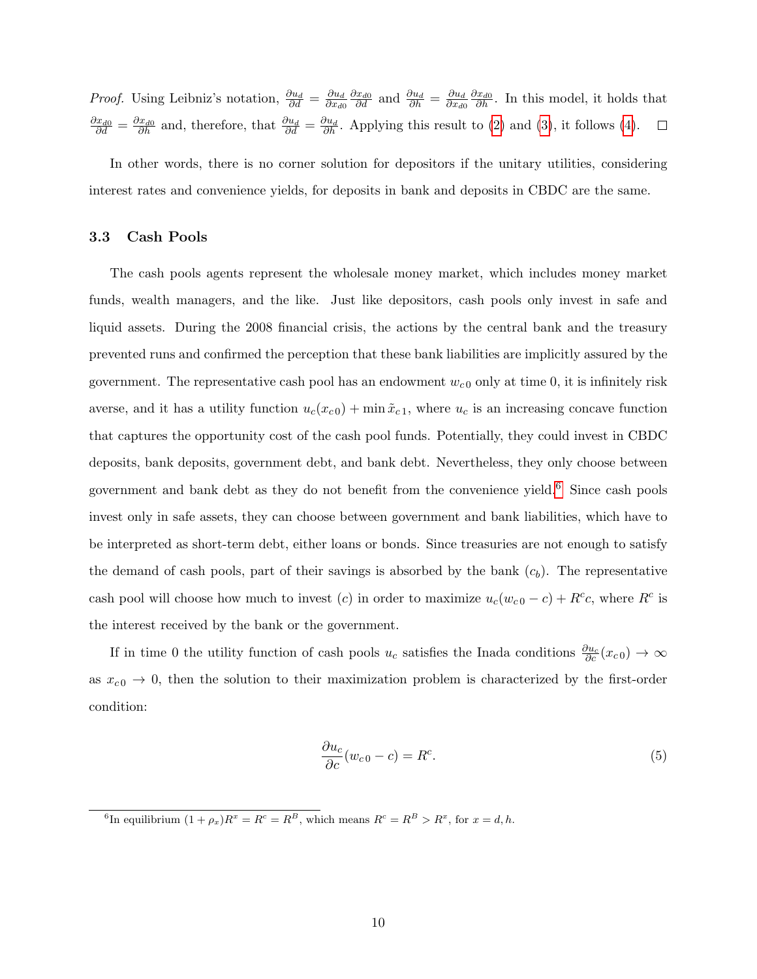*Proof.* Using Leibniz's notation,  $\frac{\partial u_d}{\partial d} = \frac{\partial u_d}{\partial x_{d0}}$  $\frac{\partial x_{d0}}{\partial d}$  and  $\frac{\partial u_d}{\partial h} = \frac{\partial u_d}{\partial x_{d0}}$  $\frac{\partial x_{d0}}{\partial h}$ . In this model, it holds that  $\overline{\partial x_{d0}}$  $\overline{\partial x_{d0}}$  $\frac{\partial x_{d0}}{\partial d} = \frac{\partial x_{d0}}{\partial h}$  and, therefore, that  $\frac{\partial u_d}{\partial d} = \frac{\partial u_d}{\partial h}$ . Applying this result to [\(2\)](#page-8-0) and [\(3\)](#page-8-1), it follows [\(4\)](#page-8-2).  $\Box$ 

In other words, there is no corner solution for depositors if the unitary utilities, considering interest rates and convenience yields, for deposits in bank and deposits in CBDC are the same.

#### 3.3 Cash Pools

The cash pools agents represent the wholesale money market, which includes money market funds, wealth managers, and the like. Just like depositors, cash pools only invest in safe and liquid assets. During the 2008 financial crisis, the actions by the central bank and the treasury prevented runs and confirmed the perception that these bank liabilities are implicitly assured by the government. The representative cash pool has an endowment  $w_{c0}$  only at time 0, it is infinitely risk averse, and it has a utility function  $u_c(x_{c0}) + \min \tilde{x}_{c1}$ , where  $u_c$  is an increasing concave function that captures the opportunity cost of the cash pool funds. Potentially, they could invest in CBDC deposits, bank deposits, government debt, and bank debt. Nevertheless, they only choose between government and bank debt as they do not benefit from the convenience yield.[6](#page-9-0) Since cash pools invest only in safe assets, they can choose between government and bank liabilities, which have to be interpreted as short-term debt, either loans or bonds. Since treasuries are not enough to satisfy the demand of cash pools, part of their savings is absorbed by the bank  $(c_b)$ . The representative cash pool will choose how much to invest (c) in order to maximize  $u_c(w_{c0} - c) + R^c c$ , where  $R^c$  is the interest received by the bank or the government.

If in time 0 the utility function of cash pools  $u_c$  satisfies the Inada conditions  $\frac{\partial u_c}{\partial c}(x_{c0}) \to \infty$ as  $x_{c0} \rightarrow 0$ , then the solution to their maximization problem is characterized by the first-order condition:

$$
\frac{\partial u_c}{\partial c}(w_{c0} - c) = R^c.
$$
\n(5)

<span id="page-9-0"></span><sup>&</sup>lt;sup>6</sup>In equilibrium  $(1 + \rho_x)R^x = R^c = R^B$ , which means  $R^c = R^B > R^x$ , for  $x = d, h$ .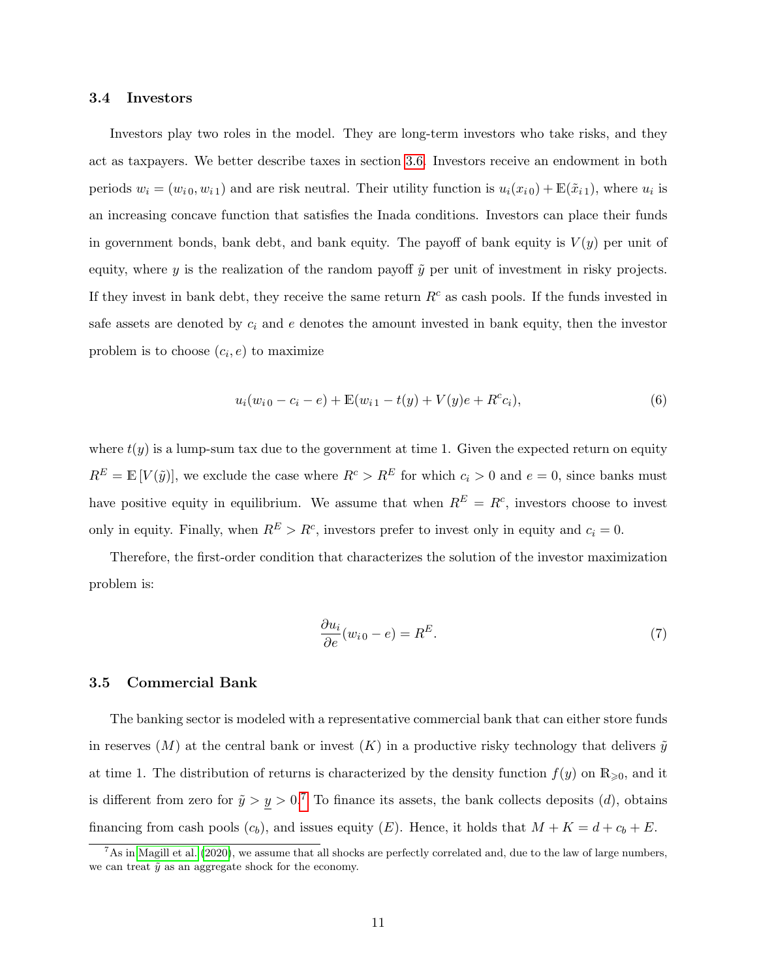#### 3.4 Investors

Investors play two roles in the model. They are long-term investors who take risks, and they act as taxpayers. We better describe taxes in section [3.6.](#page-12-0) Investors receive an endowment in both periods  $w_i = (w_{i0}, w_{i1})$  and are risk neutral. Their utility function is  $u_i(x_{i0}) + \mathbb{E}(\tilde{x}_{i1})$ , where  $u_i$  is an increasing concave function that satisfies the Inada conditions. Investors can place their funds in government bonds, bank debt, and bank equity. The payoff of bank equity is  $V(y)$  per unit of equity, where y is the realization of the random payoff  $\tilde{y}$  per unit of investment in risky projects. If they invest in bank debt, they receive the same return  $R<sup>c</sup>$  as cash pools. If the funds invested in safe assets are denoted by  $c_i$  and  $e$  denotes the amount invested in bank equity, then the investor problem is to choose  $(c_i, e)$  to maximize

$$
u_i(w_{i0} - c_i - e) + \mathbb{E}(w_{i1} - t(y) + V(y)e + R^c c_i),
$$
\n(6)

where  $t(y)$  is a lump-sum tax due to the government at time 1. Given the expected return on equity  $R^E = \mathbb{E}[V(\tilde{y})]$ , we exclude the case where  $R^c > R^E$  for which  $c_i > 0$  and  $e = 0$ , since banks must have positive equity in equilibrium. We assume that when  $R^{E} = R^{c}$ , investors choose to invest only in equity. Finally, when  $R^E > R^c$ , investors prefer to invest only in equity and  $c_i = 0$ .

Therefore, the first-order condition that characterizes the solution of the investor maximization problem is:

$$
\frac{\partial u_i}{\partial e}(w_{i0} - e) = R^E.
$$
\n(7)

#### 3.5 Commercial Bank

The banking sector is modeled with a representative commercial bank that can either store funds in reserves  $(M)$  at the central bank or invest  $(K)$  in a productive risky technology that delivers  $\tilde{y}$ at time 1. The distribution of returns is characterized by the density function  $f(y)$  on  $\mathbb{R}_{\geqslant 0}$ , and it is different from zero for  $\tilde{y} > y > 0$ .<sup>[7](#page-10-0)</sup> To finance its assets, the bank collects deposits (d), obtains financing from cash pools  $(c_b)$ , and issues equity  $(E)$ . Hence, it holds that  $M + K = d + c_b + E$ .

<span id="page-10-0"></span> $^7$ As in [Magill et al.](#page-29-0) [\(2020\)](#page-29-0), we assume that all shocks are perfectly correlated and, due to the law of large numbers, we can treat  $\tilde{y}$  as an aggregate shock for the economy.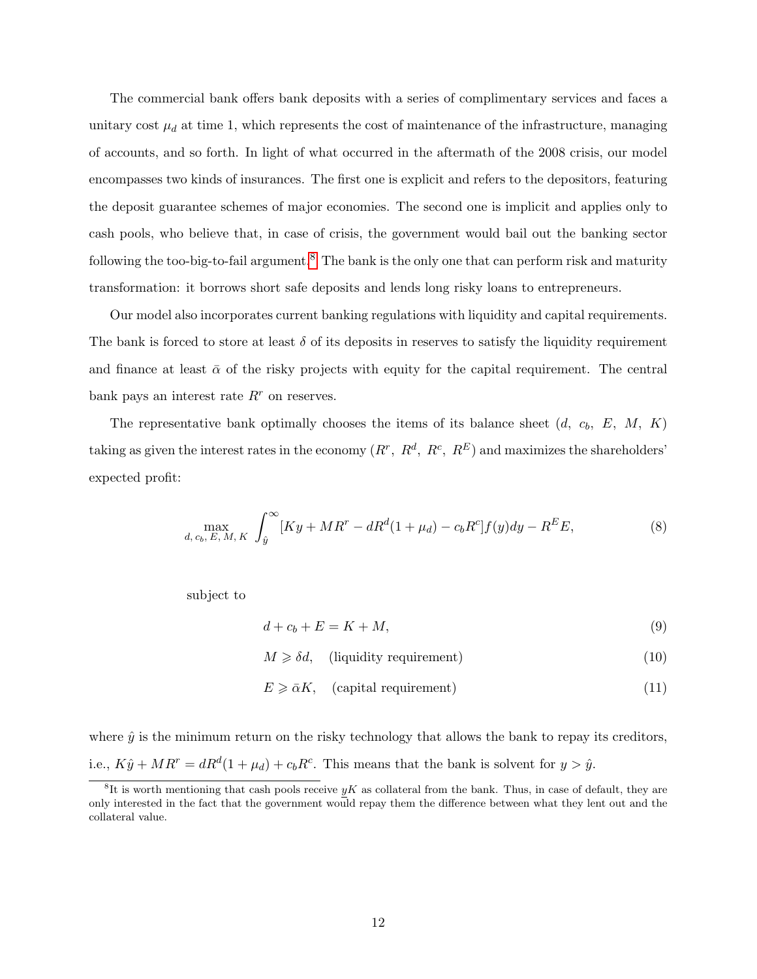The commercial bank offers bank deposits with a series of complimentary services and faces a unitary cost  $\mu_d$  at time 1, which represents the cost of maintenance of the infrastructure, managing of accounts, and so forth. In light of what occurred in the aftermath of the 2008 crisis, our model encompasses two kinds of insurances. The first one is explicit and refers to the depositors, featuring the deposit guarantee schemes of major economies. The second one is implicit and applies only to cash pools, who believe that, in case of crisis, the government would bail out the banking sector following the too-big-to-fail argument.<sup>[8](#page-11-0)</sup> The bank is the only one that can perform risk and maturity transformation: it borrows short safe deposits and lends long risky loans to entrepreneurs.

Our model also incorporates current banking regulations with liquidity and capital requirements. The bank is forced to store at least  $\delta$  of its deposits in reserves to satisfy the liquidity requirement and finance at least  $\bar{\alpha}$  of the risky projects with equity for the capital requirement. The central bank pays an interest rate  $R<sup>r</sup>$  on reserves.

The representative bank optimally chooses the items of its balance sheet  $(d, c_b, E, M, K)$ taking as given the interest rates in the economy  $(R^r, R^d, R^c, R^E)$  and maximizes the shareholders' expected profit:

$$
\max_{d, c_b, E, M, K} \int_{\hat{y}}^{\infty} [Ky + MR^r - dR^d(1 + \mu_d) - c_b R^c] f(y) dy - R^E E,
$$
\n(8)

subject to

<span id="page-11-2"></span><span id="page-11-1"></span> $d + c_b + E = K + M,$  (9)

 $M \geq \delta d$ , (liquidity requirement) (10)

<span id="page-11-3"></span>
$$
E \ge \bar{\alpha}K, \quad \text{(capital requirement)}\tag{11}
$$

where  $\hat{y}$  is the minimum return on the risky technology that allows the bank to repay its creditors, i.e.,  $K\hat{y} + MR^r = dR^d(1 + \mu_d) + c_b R^c$ . This means that the bank is solvent for  $y > \hat{y}$ .

<span id="page-11-0"></span> ${}^8\textrm{It}$  is worth mentioning that cash pools receive  $yK$  as collateral from the bank. Thus, in case of default, they are only interested in the fact that the government would repay them the difference between what they lent out and the collateral value.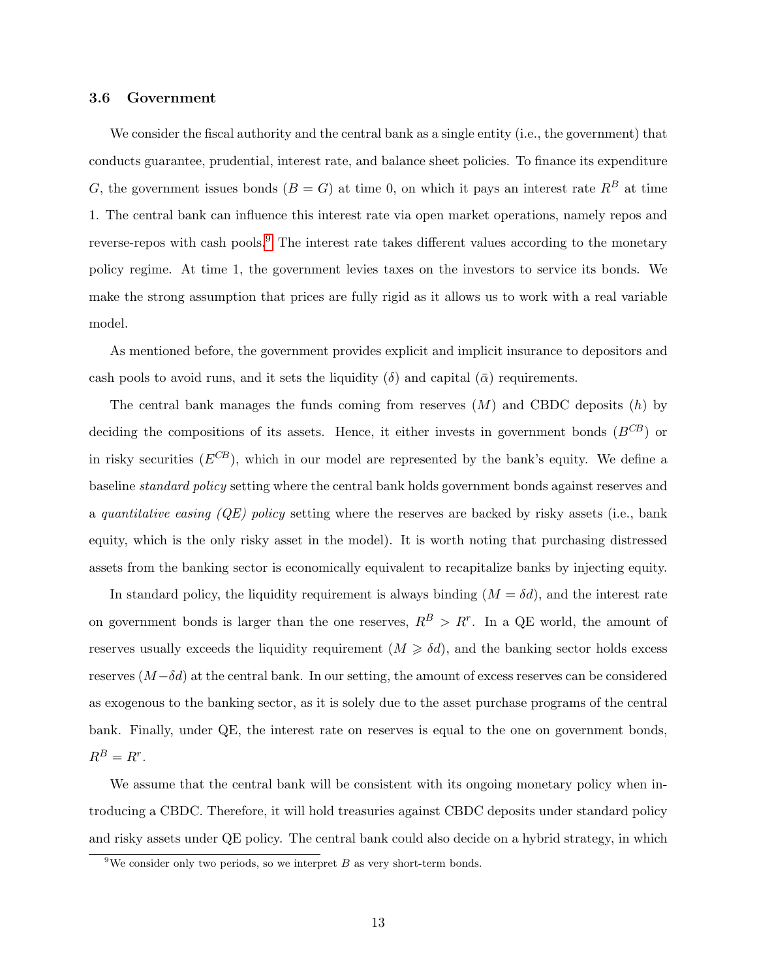#### <span id="page-12-0"></span>3.6 Government

We consider the fiscal authority and the central bank as a single entity (i.e., the government) that conducts guarantee, prudential, interest rate, and balance sheet policies. To finance its expenditure G, the government issues bonds  $(B = G)$  at time 0, on which it pays an interest rate  $R<sup>B</sup>$  at time 1. The central bank can influence this interest rate via open market operations, namely repos and reverse-repos with cash pools.<sup>[9](#page-12-1)</sup> The interest rate takes different values according to the monetary policy regime. At time 1, the government levies taxes on the investors to service its bonds. We make the strong assumption that prices are fully rigid as it allows us to work with a real variable model.

As mentioned before, the government provides explicit and implicit insurance to depositors and cash pools to avoid runs, and it sets the liquidity ( $\delta$ ) and capital ( $\bar{\alpha}$ ) requirements.

The central bank manages the funds coming from reserves  $(M)$  and CBDC deposits  $(h)$  by deciding the compositions of its assets. Hence, it either invests in government bonds  $(B^{CB})$  or in risky securities  $(E^{CB})$ , which in our model are represented by the bank's equity. We define a baseline standard policy setting where the central bank holds government bonds against reserves and a quantitative easing  $(QE)$  policy setting where the reserves are backed by risky assets (i.e., bank equity, which is the only risky asset in the model). It is worth noting that purchasing distressed assets from the banking sector is economically equivalent to recapitalize banks by injecting equity.

In standard policy, the liquidity requirement is always binding  $(M = \delta d)$ , and the interest rate on government bonds is larger than the one reserves,  $R^B > R^r$ . In a QE world, the amount of reserves usually exceeds the liquidity requirement  $(M \ge \delta d)$ , and the banking sector holds excess reserves  $(M-\delta d)$  at the central bank. In our setting, the amount of excess reserves can be considered as exogenous to the banking sector, as it is solely due to the asset purchase programs of the central bank. Finally, under QE, the interest rate on reserves is equal to the one on government bonds,  $R^B=R^r.$ 

We assume that the central bank will be consistent with its ongoing monetary policy when introducing a CBDC. Therefore, it will hold treasuries against CBDC deposits under standard policy and risky assets under QE policy. The central bank could also decide on a hybrid strategy, in which

<span id="page-12-1"></span><sup>&</sup>lt;sup>9</sup>We consider only two periods, so we interpret  $B$  as very short-term bonds.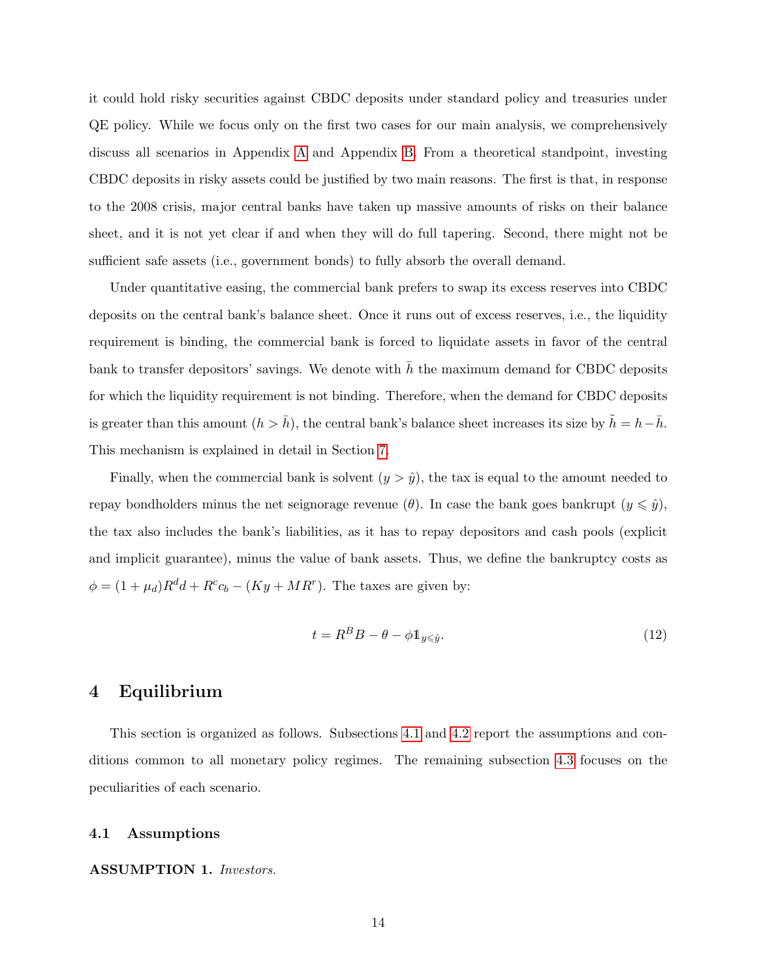it could hold risky securities against CBDC deposits under standard policy and treasuries under QE policy. While we focus only on the first two cases for our main analysis, we comprehensively discuss all scenarios in Appendix [A](#page-30-0) and Appendix [B.](#page-31-0) From a theoretical standpoint, investing CBDC deposits in risky assets could be justified by two main reasons. The first is that, in response to the 2008 crisis, major central banks have taken up massive amounts of risks on their balance sheet, and it is not yet clear if and when they will do full tapering. Second, there might not be sufficient safe assets (i.e., government bonds) to fully absorb the overall demand.

Under quantitative easing, the commercial bank prefers to swap its excess reserves into CBDC deposits on the central bank's balance sheet. Once it runs out of excess reserves, i.e., the liquidity requirement is binding, the commercial bank is forced to liquidate assets in favor of the central bank to transfer depositors' savings. We denote with  $h$  the maximum demand for CBDC deposits for which the liquidity requirement is not binding. Therefore, when the demand for CBDC deposits is greater than this amount  $(h > \bar{h})$ , the central bank's balance sheet increases its size by  $\tilde{h} = h - \bar{h}$ . This mechanism is explained in detail in Section [7.](#page-21-0)

Finally, when the commercial bank is solvent  $(y > \hat{y})$ , the tax is equal to the amount needed to repay bondholders minus the net seignorage revenue  $(\theta)$ . In case the bank goes bankrupt  $(y \leq \hat{y})$ , the tax also includes the bank's liabilities, as it has to repay depositors and cash pools (explicit and implicit guarantee), minus the value of bank assets. Thus, we define the bankruptcy costs as  $\phi = (1 + \mu_d)R^d d + R^c c_b - (Ky + MR^r)$ . The taxes are given by:

$$
t = R^B B - \theta - \phi \mathbb{1}_{y \le \hat{y}}.\tag{12}
$$

# <span id="page-13-0"></span>4 Equilibrium

This section is organized as follows. Subsections [4.1](#page-13-1) and [4.2](#page-14-0) report the assumptions and conditions common to all monetary policy regimes. The remaining subsection [4.3](#page-15-0) focuses on the peculiarities of each scenario.

#### <span id="page-13-1"></span>4.1 Assumptions

#### ASSUMPTION 1. Investors.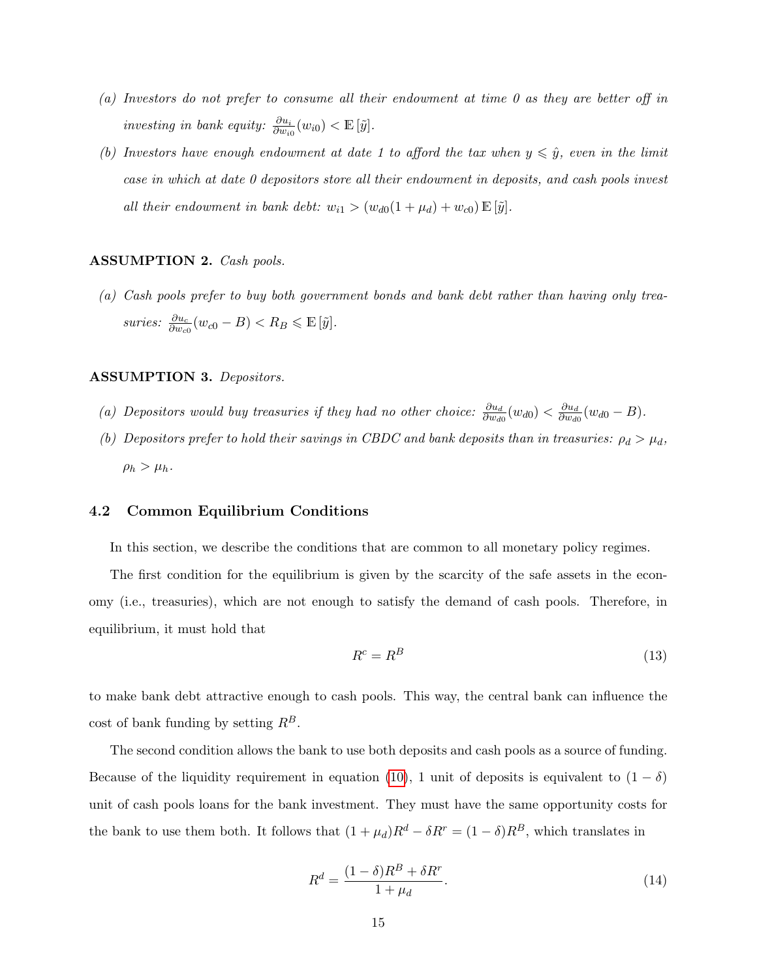- (a) Investors do not prefer to consume all their endowment at time 0 as they are better off in investing in bank equity:  $\frac{\partial u_i}{\partial w_{i0}}(w_{i0}) < \mathbb{E}[\tilde{y}]$ .
- (b) Investors have enough endowment at date 1 to afford the tax when  $y \leq \hat{y}$ , even in the limit case in which at date 0 depositors store all their endowment in deposits, and cash pools invest all their endowment in bank debt:  $w_{i1} > (w_{d0}(1 + \mu_d) + w_{c0}) \mathbb{E}[\tilde{y}].$

#### ASSUMPTION 2. Cash pools.

(a) Cash pools prefer to buy both government bonds and bank debt rather than having only treasuries:  $\frac{\partial u_c}{\partial w_{c0}}(w_{c0} - B) < R_B \leqslant \mathbb{E}[\tilde{y}].$ 

#### ASSUMPTION 3. Depositors.

- (a) Depositors would buy treasuries if they had no other choice:  $\frac{\partial u_d}{\partial w_{d0}}(w_{d0}) < \frac{\partial u_d}{\partial w_{d0}}(w_d)$  $\frac{\partial u_d}{\partial w_{d0}}(w_{d0}-B).$
- (b) Depositors prefer to hold their savings in CBDC and bank deposits than in treasuries:  $\rho_d > \mu_d$ ,  $\rho_h > \mu_h$ .

#### <span id="page-14-0"></span>4.2 Common Equilibrium Conditions

In this section, we describe the conditions that are common to all monetary policy regimes.

The first condition for the equilibrium is given by the scarcity of the safe assets in the economy (i.e., treasuries), which are not enough to satisfy the demand of cash pools. Therefore, in equilibrium, it must hold that

<span id="page-14-1"></span>
$$
R^c = R^B \tag{13}
$$

to make bank debt attractive enough to cash pools. This way, the central bank can influence the cost of bank funding by setting  $R^B$ .

The second condition allows the bank to use both deposits and cash pools as a source of funding. Because of the liquidity requirement in equation [\(10\)](#page-11-1), 1 unit of deposits is equivalent to  $(1 - \delta)$ unit of cash pools loans for the bank investment. They must have the same opportunity costs for the bank to use them both. It follows that  $(1 + \mu_d)R^d - \delta R^r = (1 - \delta)R^B$ , which translates in

<span id="page-14-2"></span>
$$
R^d = \frac{(1 - \delta)R^B + \delta R^r}{1 + \mu_d}.\tag{14}
$$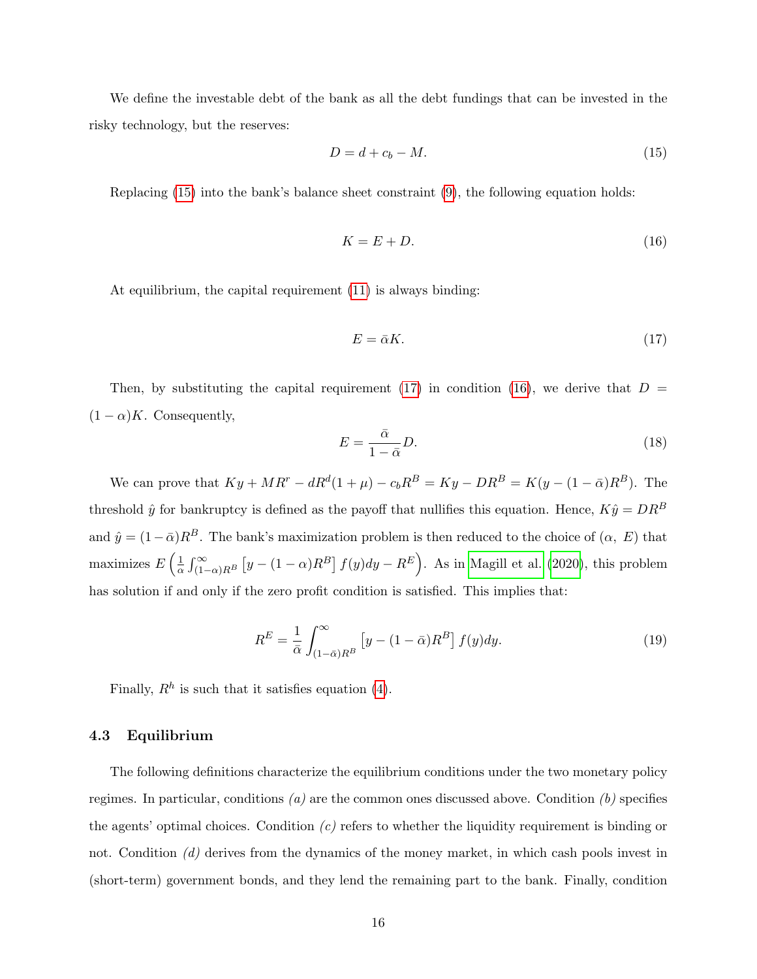We define the investable debt of the bank as all the debt fundings that can be invested in the risky technology, but the reserves:

<span id="page-15-1"></span>
$$
D = d + c_b - M. \tag{15}
$$

Replacing [\(15\)](#page-15-1) into the bank's balance sheet constraint [\(9\)](#page-11-2), the following equation holds:

<span id="page-15-3"></span>
$$
K = E + D. \tag{16}
$$

At equilibrium, the capital requirement [\(11\)](#page-11-3) is always binding:

<span id="page-15-2"></span>
$$
E = \bar{\alpha}K.\tag{17}
$$

Then, by substituting the capital requirement [\(17\)](#page-15-2) in condition [\(16\)](#page-15-3), we derive that  $D =$  $(1 - \alpha)K$ . Consequently,

<span id="page-15-4"></span>
$$
E = \frac{\bar{\alpha}}{1 - \bar{\alpha}} D. \tag{18}
$$

We can prove that  $Ky + MR^r - dR^d(1 + \mu) - c_bR^B = Ky - DR^B = K(y - (1 - \bar{\alpha})R^B)$ . The threshold  $\hat{y}$  for bankruptcy is defined as the payoff that nullifies this equation. Hence,  $K\hat{y} = DR^B$ and  $\hat{y} = (1 - \bar{\alpha})R^B$ . The bank's maximization problem is then reduced to the choice of  $(\alpha, E)$  that maximizes  $E\left(\frac{1}{\alpha}\right)$  $\frac{1}{\alpha}\int_{(1-\alpha)R^B}^{\infty} \left[y - (1-\alpha)R^B\right] f(y)dy - R^E$ . As in [Magill et al.](#page-29-0) [\(2020\)](#page-29-0), this problem has solution if and only if the zero profit condition is satisfied. This implies that:

<span id="page-15-5"></span>
$$
R^{E} = \frac{1}{\bar{\alpha}} \int_{(1-\bar{\alpha})R^{B}}^{\infty} \left[ y - (1-\bar{\alpha})R^{B} \right] f(y) dy.
$$
 (19)

Finally,  $R<sup>h</sup>$  is such that it satisfies equation [\(4\)](#page-8-2).

#### <span id="page-15-0"></span>4.3 Equilibrium

The following definitions characterize the equilibrium conditions under the two monetary policy regimes. In particular, conditions (*a*) are the common ones discussed above. Condition (*b*) specifies the agents' optimal choices. Condition  $(c)$  refers to whether the liquidity requirement is binding or not. Condition (d) derives from the dynamics of the money market, in which cash pools invest in (short-term) government bonds, and they lend the remaining part to the bank. Finally, condition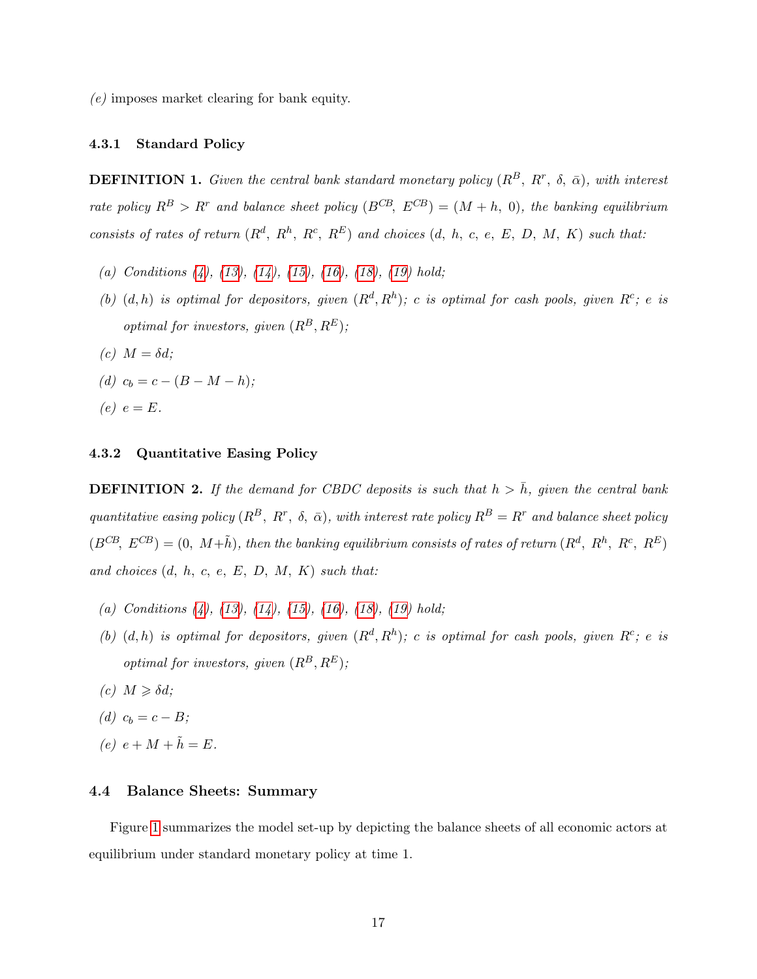(e) imposes market clearing for bank equity.

#### 4.3.1 Standard Policy

**DEFINITION 1.** Given the central bank standard monetary policy  $(R^B, R^r, \delta, \bar{\alpha})$ , with interest rate policy  $R^B > R^r$  and balance sheet policy  $(B^{CB}, E^{CB}) = (M + h, 0)$ , the banking equilibrium consists of rates of return  $(R^d, R^h, R^c, R^E)$  and choices  $(d, h, c, e, E, D, M, K)$  such that:

- (a) Conditions  $(4)$ ,  $(13)$ ,  $(14)$ ,  $(15)$ ,  $(16)$ ,  $(18)$ ,  $(19)$  hold;
- (b)  $(d, h)$  is optimal for depositors, given  $(R^d, R^h)$ ; c is optimal for cash pools, given  $R^c$ ; e is optimal for investors, given  $(R^B, R^E)$ ;
- (c)  $M = \delta d$ ;
- (d)  $c_b = c (B M h);$

$$
(e) e = E.
$$

#### 4.3.2 Quantitative Easing Policy

**DEFINITION 2.** If the demand for CBDC deposits is such that  $h > \bar{h}$ , given the central bank quantitative easing policy  $(R^B, R^r, \delta, \bar{\alpha})$ , with interest rate policy  $R^B = R^r$  and balance sheet policy  $(B^{CB}, E^{CB}) = (0, M + \tilde{h})$ , then the banking equilibrium consists of rates of return  $(R^d, R^h, R^c, R^E)$ and choices  $(d, h, c, e, E, D, M, K)$  such that:

- (a) Conditions  $(4)$ ,  $(13)$ ,  $(14)$ ,  $(15)$ ,  $(16)$ ,  $(18)$ ,  $(19)$  hold;
- (b)  $(d, h)$  is optimal for depositors, given  $(R^d, R^h)$ ; c is optimal for cash pools, given  $R^c$ ; e is optimal for investors, given  $(R^B, R^E)$ ;
- (c)  $M \geq \delta d$ ;
- (d)  $c_b = c B;$
- (e)  $e + M + \tilde{h} = E$ .

#### 4.4 Balance Sheets: Summary

Figure [1](#page-17-0) summarizes the model set-up by depicting the balance sheets of all economic actors at equilibrium under standard monetary policy at time 1.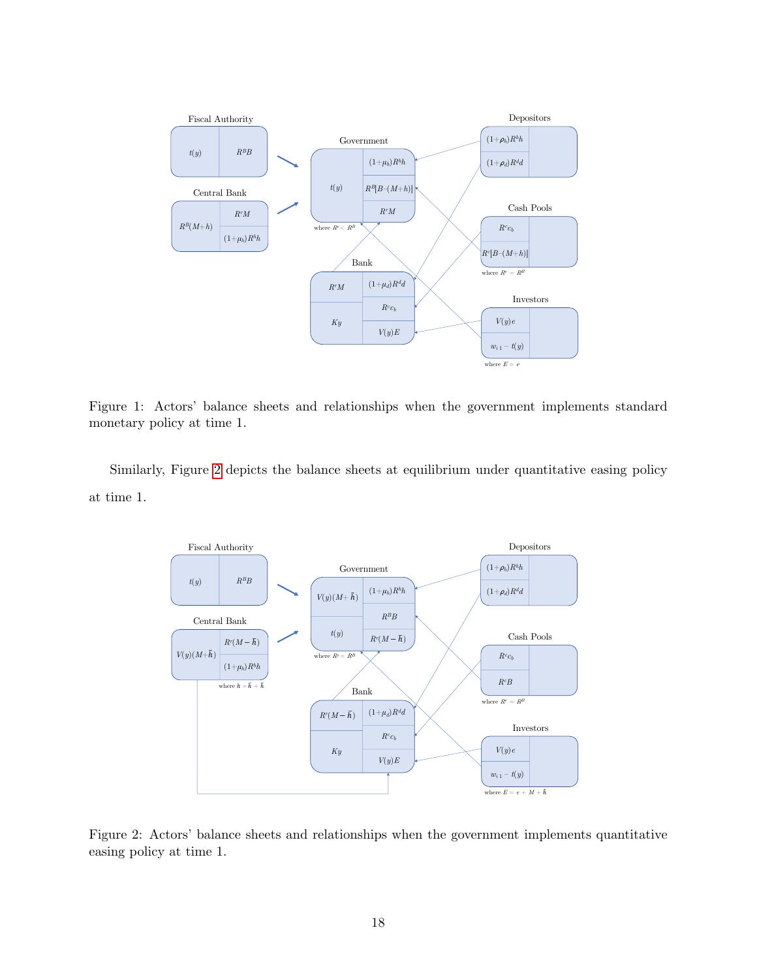<span id="page-17-0"></span>

Figure 1: Actors' balance sheets and relationships when the government implements standard monetary policy at time 1.

<span id="page-17-1"></span>Similarly, Figure [2](#page-17-1) depicts the balance sheets at equilibrium under quantitative easing policy at time 1.



Figure 2: Actors' balance sheets and relationships when the government implements quantitative easing policy at time 1.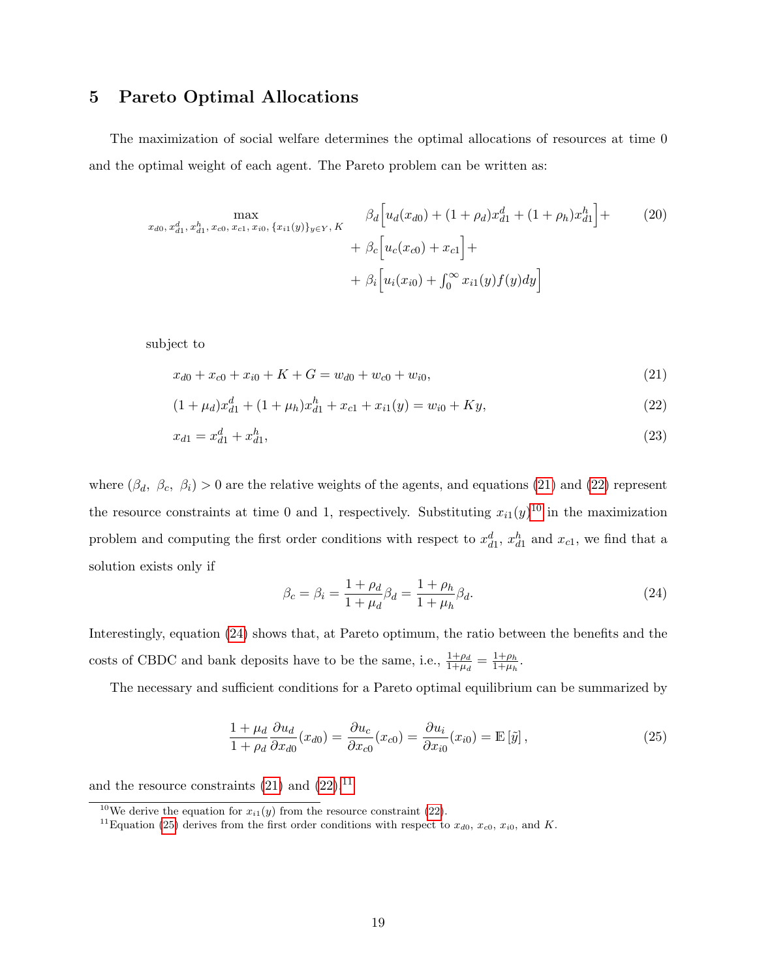# <span id="page-18-0"></span>5 Pareto Optimal Allocations

The maximization of social welfare determines the optimal allocations of resources at time 0 and the optimal weight of each agent. The Pareto problem can be written as:

$$
\max_{x_{d0}, x_{d1}^d, x_{d1}^h, x_{c0}, x_{c1}, x_{i0}, \{x_{i1}(y)\}_{y \in Y}, K} \beta_d \left[ u_d(x_{d0}) + (1 + \rho_d) x_{d1}^d + (1 + \rho_h) x_{d1}^h \right] + \beta_c \left[ u_c(x_{c0}) + x_{c1} \right] + \beta_i \left[ u_i(x_{i0}) + \int_0^\infty x_{i1}(y) f(y) dy \right]
$$
\n(20)

subject to

$$
x_{d0} + x_{c0} + x_{i0} + K + G = w_{d0} + w_{c0} + w_{i0}, \tag{21}
$$

$$
(1 + \mu_d)x_{d1}^d + (1 + \mu_h)x_{d1}^h + x_{c1} + x_{i1}(y) = w_{i0} + Ky,
$$
\n(22)

$$
x_{d1} = x_{d1}^d + x_{d1}^h,\tag{23}
$$

where  $(\beta_d, \beta_c, \beta_i) > 0$  are the relative weights of the agents, and equations [\(21\)](#page-18-1) and [\(22\)](#page-18-2) represent the resource constraints at time 0 and 1, respectively. Substituting  $x_{i1}(y)^{10}$  $x_{i1}(y)^{10}$  $x_{i1}(y)^{10}$  in the maximization problem and computing the first order conditions with respect to  $x_{d1}^d$ ,  $x_{d1}^h$  and  $x_{c1}$ , we find that a solution exists only if

<span id="page-18-4"></span><span id="page-18-2"></span><span id="page-18-1"></span>
$$
\beta_c = \beta_i = \frac{1 + \rho_d}{1 + \mu_d} \beta_d = \frac{1 + \rho_h}{1 + \mu_h} \beta_d.
$$
\n(24)

Interestingly, equation [\(24\)](#page-18-4) shows that, at Pareto optimum, the ratio between the benefits and the costs of CBDC and bank deposits have to be the same, i.e.,  $\frac{1+\rho_d}{1+\mu_d} = \frac{1+\rho_h}{1+\mu_h}$  $\frac{1+\rho_h}{1+\mu_h}$ .

The necessary and sufficient conditions for a Pareto optimal equilibrium can be summarized by

<span id="page-18-6"></span>
$$
\frac{1+\mu_d}{1+\rho_d} \frac{\partial u_d}{\partial x_{d0}}(x_{d0}) = \frac{\partial u_c}{\partial x_{c0}}(x_{c0}) = \frac{\partial u_i}{\partial x_{i0}}(x_{i0}) = \mathbb{E}\left[\tilde{y}\right],\tag{25}
$$

and the resource constraints  $(21)$  and  $(22).<sup>11</sup>$  $(22).<sup>11</sup>$  $(22).<sup>11</sup>$  $(22).<sup>11</sup>$ 

<span id="page-18-3"></span><sup>&</sup>lt;sup>10</sup>We derive the equation for  $x_{i1}(y)$  from the resource constraint [\(22\)](#page-18-2).

<span id="page-18-5"></span><sup>&</sup>lt;sup>11</sup>Equation [\(25\)](#page-18-6) derives from the first order conditions with respect to  $x_{d0}$ ,  $x_{c0}$ ,  $x_{i0}$ , and K.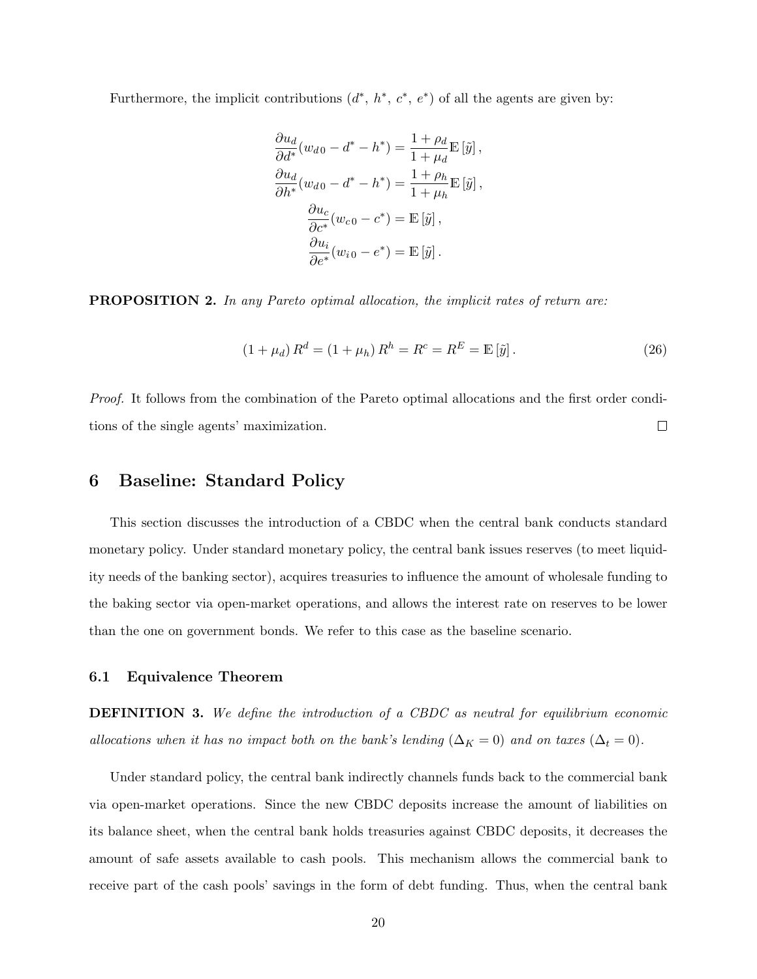Furthermore, the implicit contributions  $(d^*, h^*, c^*, e^*)$  of all the agents are given by:

$$
\frac{\partial u_d}{\partial d^*}(w_{d0} - d^* - h^*) = \frac{1 + \rho_d}{1 + \mu_d} \mathbb{E} \left[ \tilde{y} \right],
$$

$$
\frac{\partial u_d}{\partial h^*}(w_{d0} - d^* - h^*) = \frac{1 + \rho_h}{1 + \mu_h} \mathbb{E} \left[ \tilde{y} \right],
$$

$$
\frac{\partial u_c}{\partial c^*}(w_{c0} - c^*) = \mathbb{E} \left[ \tilde{y} \right],
$$

$$
\frac{\partial u_i}{\partial e^*}(w_{i0} - e^*) = \mathbb{E} \left[ \tilde{y} \right].
$$

**PROPOSITION 2.** In any Pareto optimal allocation, the implicit rates of return are:

$$
(1 + \mu_d) R^d = (1 + \mu_h) R^h = R^c = R^E = \mathbb{E} \left[ \tilde{y} \right]. \tag{26}
$$

Proof. It follows from the combination of the Pareto optimal allocations and the first order conditions of the single agents' maximization.  $\Box$ 

# <span id="page-19-0"></span>6 Baseline: Standard Policy

This section discusses the introduction of a CBDC when the central bank conducts standard monetary policy. Under standard monetary policy, the central bank issues reserves (to meet liquidity needs of the banking sector), acquires treasuries to influence the amount of wholesale funding to the baking sector via open-market operations, and allows the interest rate on reserves to be lower than the one on government bonds. We refer to this case as the baseline scenario.

#### 6.1 Equivalence Theorem

**DEFINITION 3.** We define the introduction of a CBDC as neutral for equilibrium economic allocations when it has no impact both on the bank's lending ( $\Delta_K = 0$ ) and on taxes ( $\Delta_t = 0$ ).

Under standard policy, the central bank indirectly channels funds back to the commercial bank via open-market operations. Since the new CBDC deposits increase the amount of liabilities on its balance sheet, when the central bank holds treasuries against CBDC deposits, it decreases the amount of safe assets available to cash pools. This mechanism allows the commercial bank to receive part of the cash pools' savings in the form of debt funding. Thus, when the central bank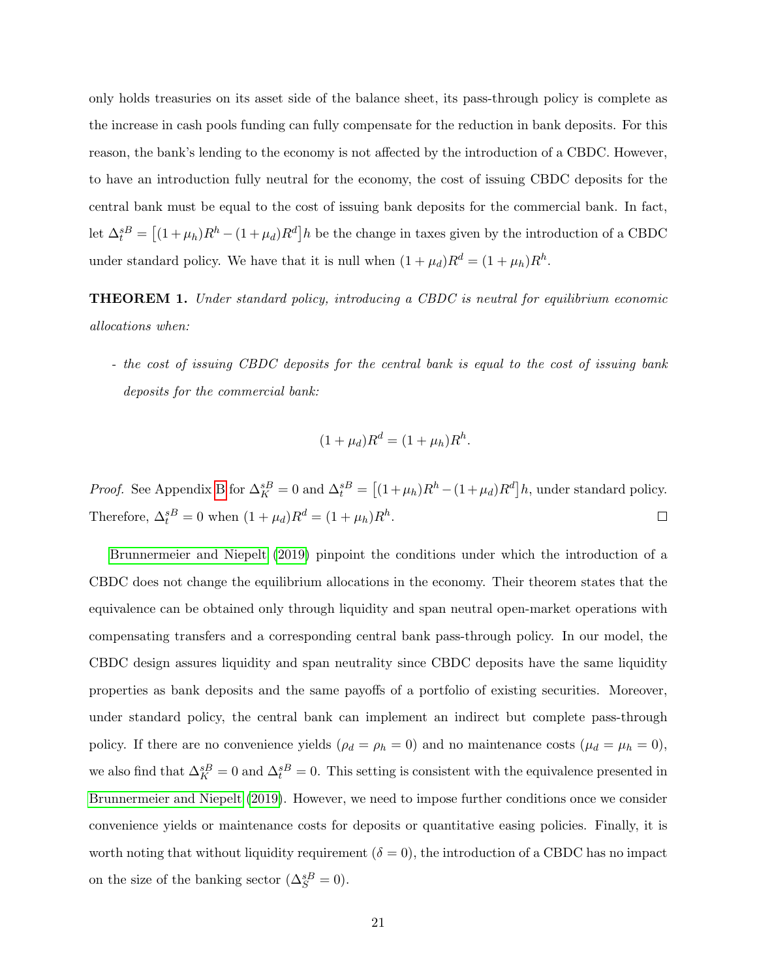only holds treasuries on its asset side of the balance sheet, its pass-through policy is complete as the increase in cash pools funding can fully compensate for the reduction in bank deposits. For this reason, the bank's lending to the economy is not affected by the introduction of a CBDC. However, to have an introduction fully neutral for the economy, the cost of issuing CBDC deposits for the central bank must be equal to the cost of issuing bank deposits for the commercial bank. In fact, let  $\Delta_t^{sB} = [(1 + \mu_h)R^h - (1 + \mu_d)R^d]h$  be the change in taxes given by the introduction of a CBDC under standard policy. We have that it is null when  $(1 + \mu_d)R^d = (1 + \mu_h)R^h$ .

THEOREM 1. Under standard policy, introducing a CBDC is neutral for equilibrium economic allocations when:

- the cost of issuing CBDC deposits for the central bank is equal to the cost of issuing bank deposits for the commercial bank:

$$
(1 + \mu_d)R^d = (1 + \mu_h)R^h.
$$

*Proof.* See Appendix [B](#page-31-0) for  $\Delta_K^{sB} = 0$  and  $\Delta_t^{sB} = [(1 + \mu_h)R^h - (1 + \mu_d)R^d]h$ , under standard policy. Therefore,  $\Delta_t^{sB} = 0$  when  $(1 + \mu_d)R^d = (1 + \mu_h)R^h$ .  $\Box$ 

[Brunnermeier and Niepelt](#page-28-7) [\(2019\)](#page-28-7) pinpoint the conditions under which the introduction of a CBDC does not change the equilibrium allocations in the economy. Their theorem states that the equivalence can be obtained only through liquidity and span neutral open-market operations with compensating transfers and a corresponding central bank pass-through policy. In our model, the CBDC design assures liquidity and span neutrality since CBDC deposits have the same liquidity properties as bank deposits and the same payoffs of a portfolio of existing securities. Moreover, under standard policy, the central bank can implement an indirect but complete pass-through policy. If there are no convenience yields ( $\rho_d = \rho_h = 0$ ) and no maintenance costs ( $\mu_d = \mu_h = 0$ ), we also find that  $\Delta_K^{sB} = 0$  and  $\Delta_t^{sB} = 0$ . This setting is consistent with the equivalence presented in [Brunnermeier and Niepelt](#page-28-7) [\(2019\)](#page-28-7). However, we need to impose further conditions once we consider convenience yields or maintenance costs for deposits or quantitative easing policies. Finally, it is worth noting that without liquidity requirement ( $\delta = 0$ ), the introduction of a CBDC has no impact on the size of the banking sector  $(\Delta_S^{sB} = 0)$ .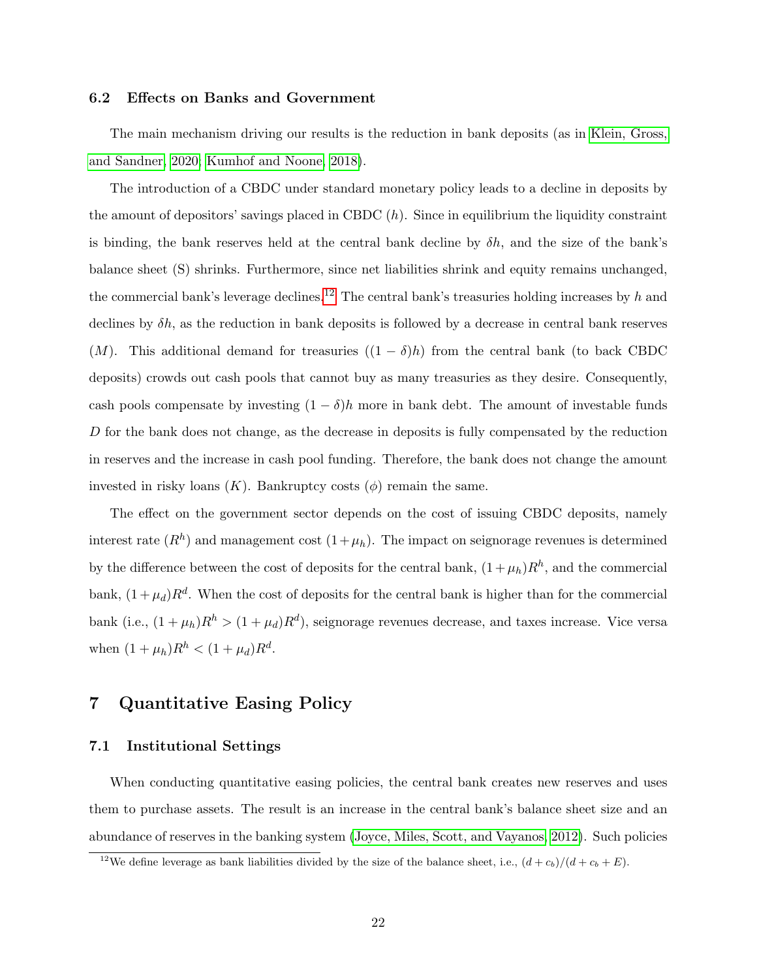#### 6.2 Effects on Banks and Government

The main mechanism driving our results is the reduction in bank deposits (as in [Klein, Gross,](#page-29-5) [and Sandner, 2020;](#page-29-5) [Kumhof and Noone, 2018\)](#page-29-6).

The introduction of a CBDC under standard monetary policy leads to a decline in deposits by the amount of depositors' savings placed in CBDC  $(h)$ . Since in equilibrium the liquidity constraint is binding, the bank reserves held at the central bank decline by  $\delta h$ , and the size of the bank's balance sheet (S) shrinks. Furthermore, since net liabilities shrink and equity remains unchanged, the commercial bank's leverage declines.<sup>[12](#page-21-1)</sup> The central bank's treasuries holding increases by h and declines by  $\delta h$ , as the reduction in bank deposits is followed by a decrease in central bank reserves (M). This additional demand for treasuries  $((1 - \delta)h)$  from the central bank (to back CBDC deposits) crowds out cash pools that cannot buy as many treasuries as they desire. Consequently, cash pools compensate by investing  $(1 - \delta)h$  more in bank debt. The amount of investable funds D for the bank does not change, as the decrease in deposits is fully compensated by the reduction in reserves and the increase in cash pool funding. Therefore, the bank does not change the amount invested in risky loans  $(K)$ . Bankruptcy costs  $(\phi)$  remain the same.

The effect on the government sector depends on the cost of issuing CBDC deposits, namely interest rate  $(R<sup>h</sup>)$  and management cost  $(1+\mu_h)$ . The impact on seignorage revenues is determined by the difference between the cost of deposits for the central bank,  $(1 + \mu_h)R^h$ , and the commercial bank,  $(1 + \mu_d)R^d$ . When the cost of deposits for the central bank is higher than for the commercial bank (i.e.,  $(1 + \mu_h)R^h > (1 + \mu_d)R^d$ ), seignorage revenues decrease, and taxes increase. Vice versa when  $(1 + \mu_h)R^h < (1 + \mu_d)R^d$ .

# <span id="page-21-0"></span>7 Quantitative Easing Policy

#### 7.1 Institutional Settings

When conducting quantitative easing policies, the central bank creates new reserves and uses them to purchase assets. The result is an increase in the central bank's balance sheet size and an abundance of reserves in the banking system [\(Joyce, Miles, Scott, and Vayanos, 2012\)](#page-29-7). Such policies

<span id="page-21-1"></span><sup>&</sup>lt;sup>12</sup>We define leverage as bank liabilities divided by the size of the balance sheet, i.e.,  $(d + c_b)/(d + c_b + E)$ .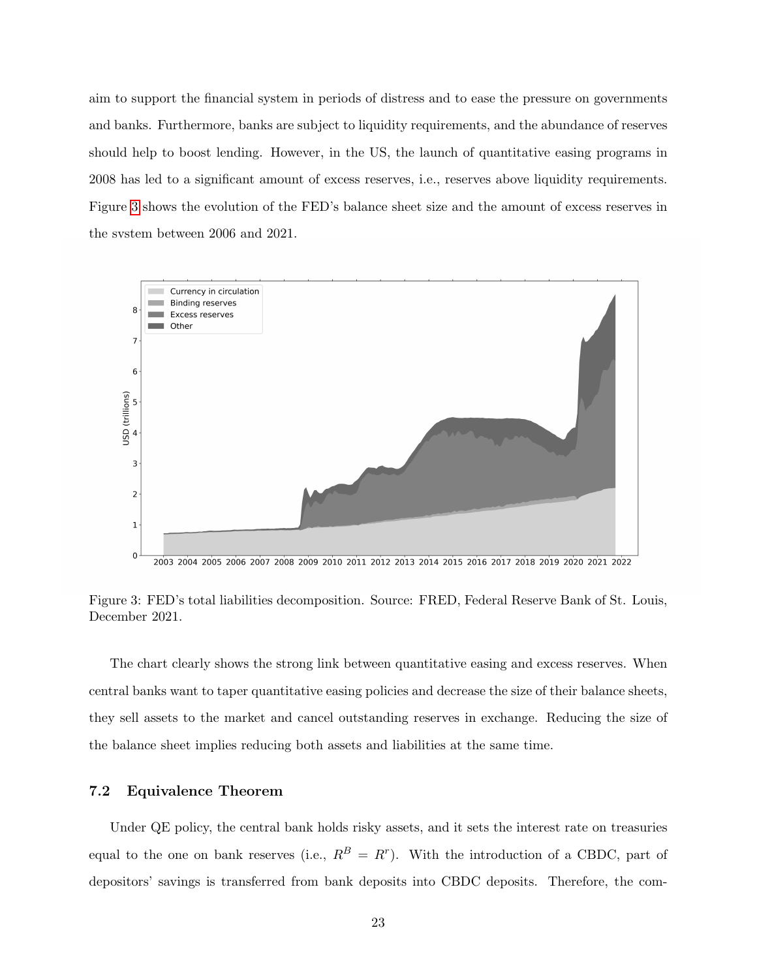aim to support the financial system in periods of distress and to ease the pressure on governments and banks. Furthermore, banks are subject to liquidity requirements, and the abundance of reserves should help to boost lending. However, in the US, the launch of quantitative easing programs in 2008 has led to a significant amount of excess reserves, i.e., reserves above liquidity requirements. Figure [3](#page-22-0) shows the evolution of the FED's balance sheet size and the amount of excess reserves in the system between 2006 and 2021.

<span id="page-22-0"></span>

Figure 3: FED's total liabilities decomposition. Source: FRED, Federal Reserve Bank of St. Louis, December 2021.

The chart clearly shows the strong link between quantitative easing and excess reserves. When central banks want to taper quantitative easing policies and decrease the size of their balance sheets, they sell assets to the market and cancel outstanding reserves in exchange. Reducing the size of the balance sheet implies reducing both assets and liabilities at the same time.

# 7.2 Equivalence Theorem

Under QE policy, the central bank holds risky assets, and it sets the interest rate on treasuries equal to the one on bank reserves (i.e.,  $R^B = R^r$ ). With the introduction of a CBDC, part of depositors' savings is transferred from bank deposits into CBDC deposits. Therefore, the com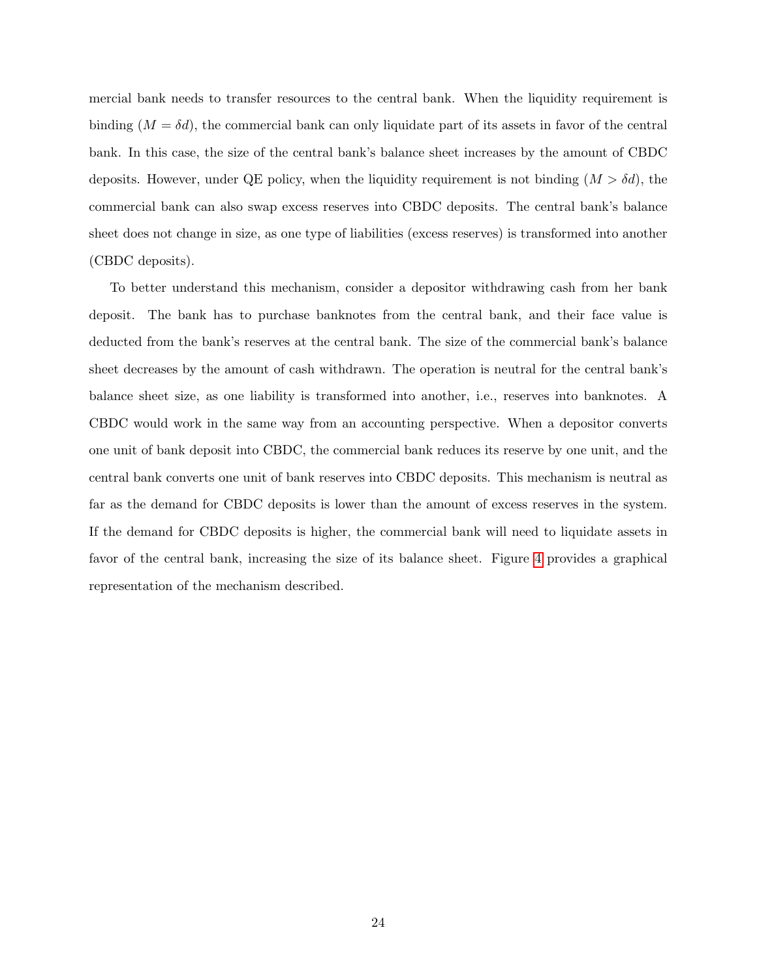mercial bank needs to transfer resources to the central bank. When the liquidity requirement is binding  $(M = \delta d)$ , the commercial bank can only liquidate part of its assets in favor of the central bank. In this case, the size of the central bank's balance sheet increases by the amount of CBDC deposits. However, under QE policy, when the liquidity requirement is not binding  $(M > \delta d)$ , the commercial bank can also swap excess reserves into CBDC deposits. The central bank's balance sheet does not change in size, as one type of liabilities (excess reserves) is transformed into another (CBDC deposits).

To better understand this mechanism, consider a depositor withdrawing cash from her bank deposit. The bank has to purchase banknotes from the central bank, and their face value is deducted from the bank's reserves at the central bank. The size of the commercial bank's balance sheet decreases by the amount of cash withdrawn. The operation is neutral for the central bank's balance sheet size, as one liability is transformed into another, i.e., reserves into banknotes. A CBDC would work in the same way from an accounting perspective. When a depositor converts one unit of bank deposit into CBDC, the commercial bank reduces its reserve by one unit, and the central bank converts one unit of bank reserves into CBDC deposits. This mechanism is neutral as far as the demand for CBDC deposits is lower than the amount of excess reserves in the system. If the demand for CBDC deposits is higher, the commercial bank will need to liquidate assets in favor of the central bank, increasing the size of its balance sheet. Figure [4](#page-24-0) provides a graphical representation of the mechanism described.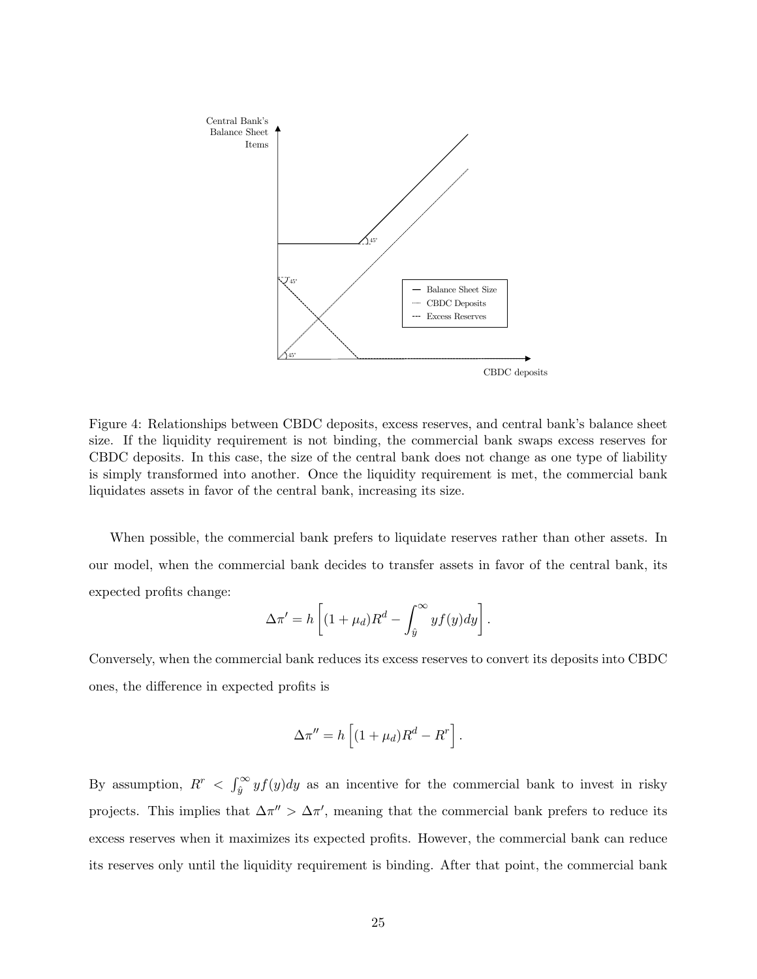<span id="page-24-0"></span>

Figure 4: Relationships between CBDC deposits, excess reserves, and central bank's balance sheet size. If the liquidity requirement is not binding, the commercial bank swaps excess reserves for CBDC deposits. In this case, the size of the central bank does not change as one type of liability is simply transformed into another. Once the liquidity requirement is met, the commercial bank liquidates assets in favor of the central bank, increasing its size.

When possible, the commercial bank prefers to liquidate reserves rather than other assets. In our model, when the commercial bank decides to transfer assets in favor of the central bank, its expected profits change:

$$
\Delta \pi' = h \left[ (1 + \mu_d) R^d - \int_{\hat{y}}^{\infty} y f(y) dy \right].
$$

Conversely, when the commercial bank reduces its excess reserves to convert its deposits into CBDC ones, the difference in expected profits is

$$
\Delta \pi'' = h \left[ (1 + \mu_d) R^d - R^r \right].
$$

By assumption,  $R^r < \int_{\hat{y}}^{\infty} y f(y) dy$  as an incentive for the commercial bank to invest in risky projects. This implies that  $\Delta \pi'' > \Delta \pi'$ , meaning that the commercial bank prefers to reduce its excess reserves when it maximizes its expected profits. However, the commercial bank can reduce its reserves only until the liquidity requirement is binding. After that point, the commercial bank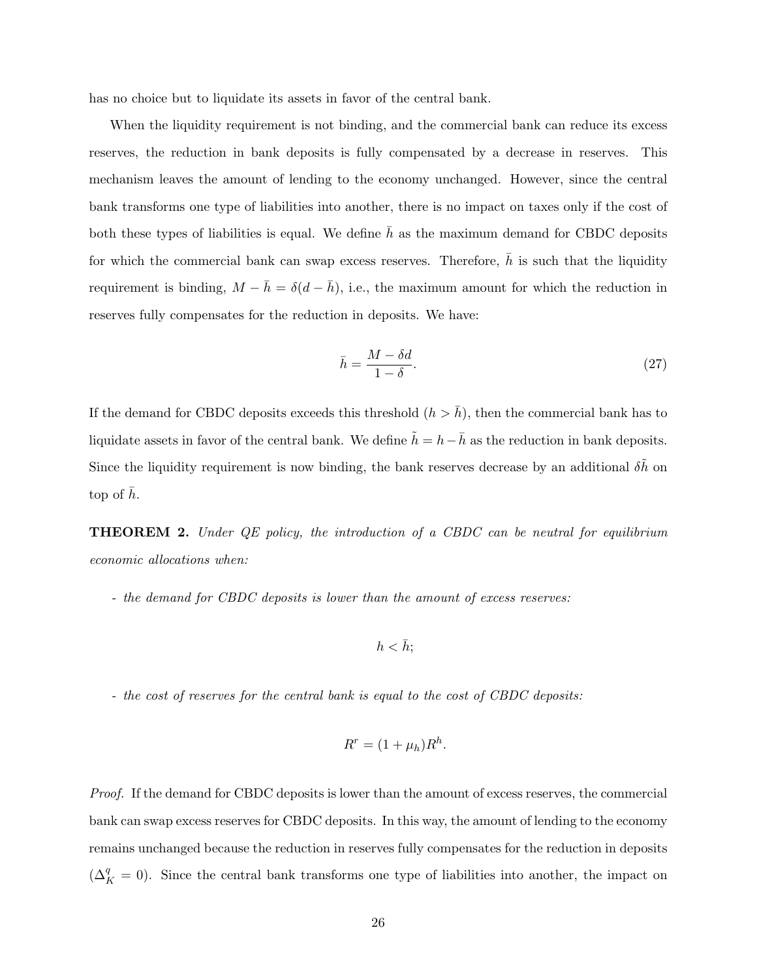has no choice but to liquidate its assets in favor of the central bank.

When the liquidity requirement is not binding, and the commercial bank can reduce its excess reserves, the reduction in bank deposits is fully compensated by a decrease in reserves. This mechanism leaves the amount of lending to the economy unchanged. However, since the central bank transforms one type of liabilities into another, there is no impact on taxes only if the cost of both these types of liabilities is equal. We define  $\bar{h}$  as the maximum demand for CBDC deposits for which the commercial bank can swap excess reserves. Therefore,  $\bar{h}$  is such that the liquidity requirement is binding,  $M - \bar{h} = \delta(d - \bar{h})$ , i.e., the maximum amount for which the reduction in reserves fully compensates for the reduction in deposits. We have:

$$
\bar{h} = \frac{M - \delta d}{1 - \delta}.\tag{27}
$$

If the demand for CBDC deposits exceeds this threshold  $(h > \bar{h})$ , then the commercial bank has to liquidate assets in favor of the central bank. We define  $\tilde{h} = h - \bar{h}$  as the reduction in bank deposits. Since the liquidity requirement is now binding, the bank reserves decrease by an additional  $\delta \tilde{h}$  on top of  $h$ .

**THEOREM 2.** Under QE policy, the introduction of a CBDC can be neutral for equilibrium economic allocations when:

- the demand for CBDC deposits is lower than the amount of excess reserves:

$$
h<\bar{h};
$$

- the cost of reserves for the central bank is equal to the cost of CBDC deposits:

$$
R^r = (1 + \mu_h)R^h.
$$

Proof. If the demand for CBDC deposits is lower than the amount of excess reserves, the commercial bank can swap excess reserves for CBDC deposits. In this way, the amount of lending to the economy remains unchanged because the reduction in reserves fully compensates for the reduction in deposits  $(\Delta_K^q = 0)$ . Since the central bank transforms one type of liabilities into another, the impact on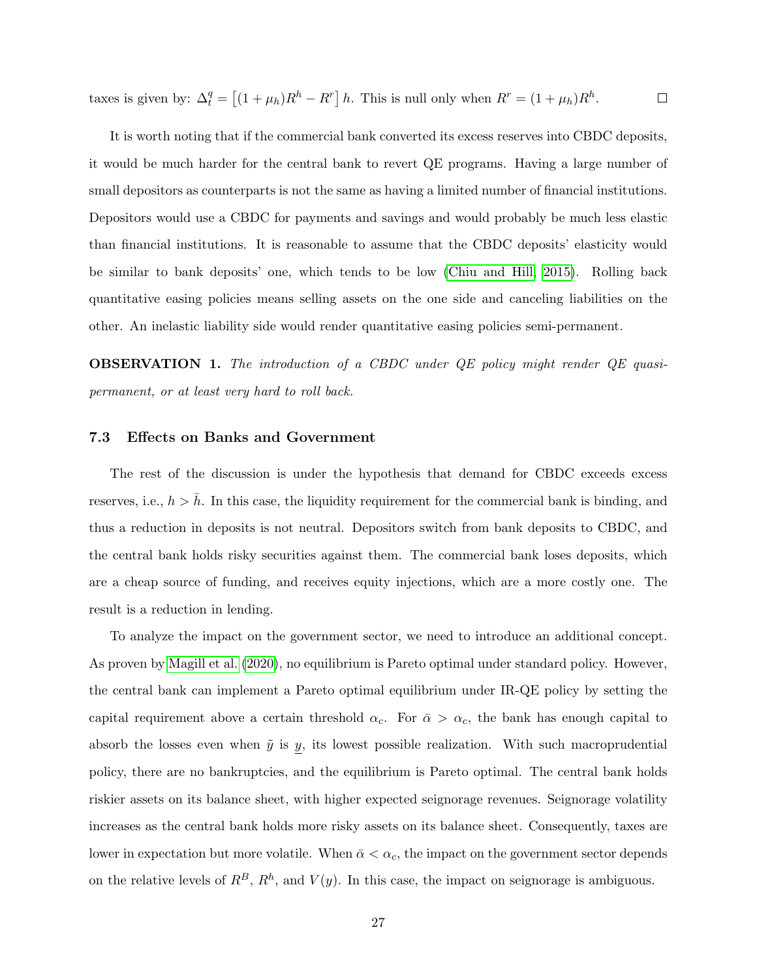taxes is given by:  $\Delta_t^q = \left[ (1 + \mu_h) R^h - R^r \right] h$ . This is null only when  $R^r = (1 + \mu_h) R^h$ .  $\Box$ 

It is worth noting that if the commercial bank converted its excess reserves into CBDC deposits, it would be much harder for the central bank to revert QE programs. Having a large number of small depositors as counterparts is not the same as having a limited number of financial institutions. Depositors would use a CBDC for payments and savings and would probably be much less elastic than financial institutions. It is reasonable to assume that the CBDC deposits' elasticity would be similar to bank deposits' one, which tends to be low [\(Chiu and Hill, 2015\)](#page-28-6). Rolling back quantitative easing policies means selling assets on the one side and canceling liabilities on the other. An inelastic liability side would render quantitative easing policies semi-permanent.

OBSERVATION 1. The introduction of a CBDC under QE policy might render QE quasipermanent, or at least very hard to roll back.

#### 7.3 Effects on Banks and Government

The rest of the discussion is under the hypothesis that demand for CBDC exceeds excess reserves, i.e.,  $h > \bar{h}$ . In this case, the liquidity requirement for the commercial bank is binding, and thus a reduction in deposits is not neutral. Depositors switch from bank deposits to CBDC, and the central bank holds risky securities against them. The commercial bank loses deposits, which are a cheap source of funding, and receives equity injections, which are a more costly one. The result is a reduction in lending.

To analyze the impact on the government sector, we need to introduce an additional concept. As proven by [Magill et al.](#page-29-0) [\(2020\)](#page-29-0), no equilibrium is Pareto optimal under standard policy. However, the central bank can implement a Pareto optimal equilibrium under IR-QE policy by setting the capital requirement above a certain threshold  $\alpha_c$ . For  $\bar{\alpha} > \alpha_c$ , the bank has enough capital to absorb the losses even when  $\tilde{y}$  is  $y$ , its lowest possible realization. With such macroprudential policy, there are no bankruptcies, and the equilibrium is Pareto optimal. The central bank holds riskier assets on its balance sheet, with higher expected seignorage revenues. Seignorage volatility increases as the central bank holds more risky assets on its balance sheet. Consequently, taxes are lower in expectation but more volatile. When  $\bar{\alpha} < \alpha_c$ , the impact on the government sector depends on the relative levels of  $R^B$ ,  $R^h$ , and  $V(y)$ . In this case, the impact on seignorage is ambiguous.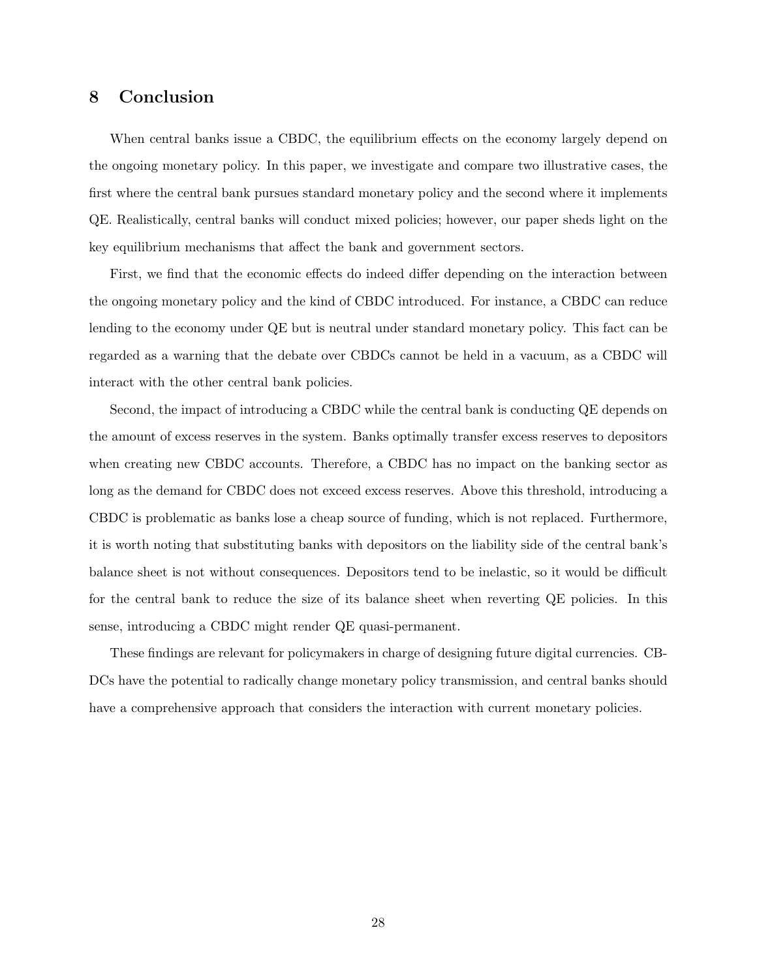# <span id="page-27-0"></span>8 Conclusion

When central banks issue a CBDC, the equilibrium effects on the economy largely depend on the ongoing monetary policy. In this paper, we investigate and compare two illustrative cases, the first where the central bank pursues standard monetary policy and the second where it implements QE. Realistically, central banks will conduct mixed policies; however, our paper sheds light on the key equilibrium mechanisms that affect the bank and government sectors.

First, we find that the economic effects do indeed differ depending on the interaction between the ongoing monetary policy and the kind of CBDC introduced. For instance, a CBDC can reduce lending to the economy under QE but is neutral under standard monetary policy. This fact can be regarded as a warning that the debate over CBDCs cannot be held in a vacuum, as a CBDC will interact with the other central bank policies.

Second, the impact of introducing a CBDC while the central bank is conducting QE depends on the amount of excess reserves in the system. Banks optimally transfer excess reserves to depositors when creating new CBDC accounts. Therefore, a CBDC has no impact on the banking sector as long as the demand for CBDC does not exceed excess reserves. Above this threshold, introducing a CBDC is problematic as banks lose a cheap source of funding, which is not replaced. Furthermore, it is worth noting that substituting banks with depositors on the liability side of the central bank's balance sheet is not without consequences. Depositors tend to be inelastic, so it would be difficult for the central bank to reduce the size of its balance sheet when reverting QE policies. In this sense, introducing a CBDC might render QE quasi-permanent.

These findings are relevant for policymakers in charge of designing future digital currencies. CB-DCs have the potential to radically change monetary policy transmission, and central banks should have a comprehensive approach that considers the interaction with current monetary policies.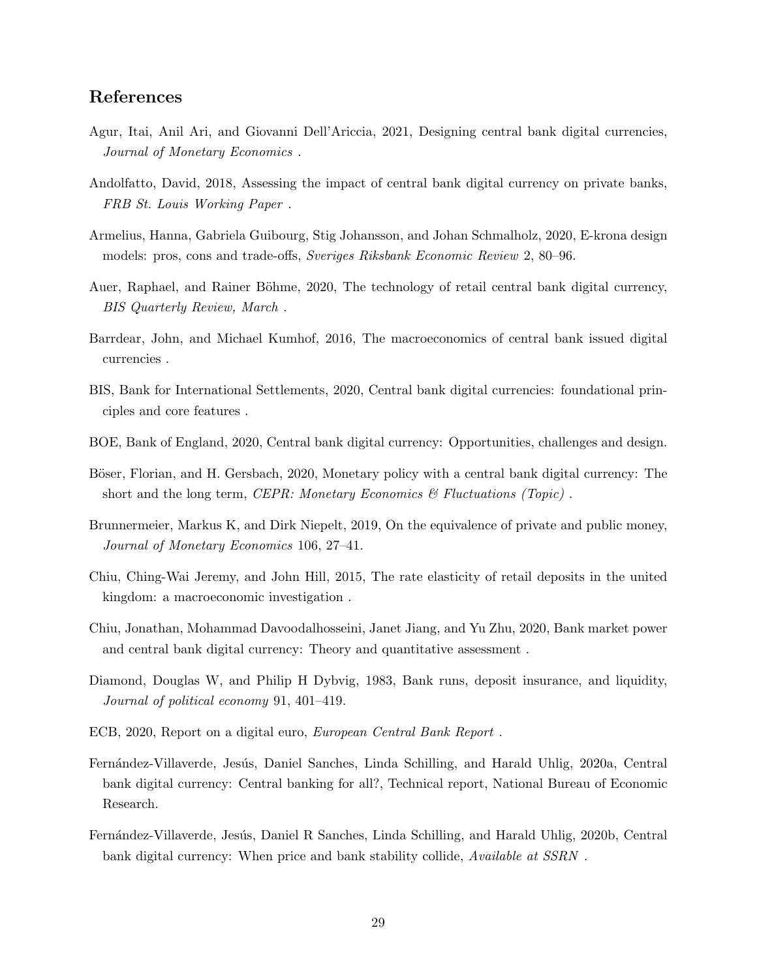# References

- <span id="page-28-3"></span>Agur, Itai, Anil Ari, and Giovanni Dell'Ariccia, 2021, Designing central bank digital currencies, Journal of Monetary Economics .
- <span id="page-28-13"></span>Andolfatto, David, 2018, Assessing the impact of central bank digital currency on private banks, FRB St. Louis Working Paper .
- <span id="page-28-1"></span>Armelius, Hanna, Gabriela Guibourg, Stig Johansson, and Johan Schmalholz, 2020, E-krona design models: pros, cons and trade-offs, Sveriges Riksbank Economic Review 2, 80–96.
- <span id="page-28-8"></span>Auer, Raphael, and Rainer Böhme, 2020, The technology of retail central bank digital currency, BIS Quarterly Review, March .
- <span id="page-28-9"></span>Barrdear, John, and Michael Kumhof, 2016, The macroeconomics of central bank issued digital currencies .
- <span id="page-28-0"></span>BIS, Bank for International Settlements, 2020, Central bank digital currencies: foundational principles and core features .
- <span id="page-28-4"></span>BOE, Bank of England, 2020, Central bank digital currency: Opportunities, challenges and design.
- <span id="page-28-14"></span>Böser, Florian, and H. Gersbach, 2020, Monetary policy with a central bank digital currency: The short and the long term, CEPR: Monetary Economics  $\mathcal{C}$  Fluctuations (Topic).
- <span id="page-28-7"></span>Brunnermeier, Markus K, and Dirk Niepelt, 2019, On the equivalence of private and public money, Journal of Monetary Economics 106, 27–41.
- <span id="page-28-6"></span>Chiu, Ching-Wai Jeremy, and John Hill, 2015, The rate elasticity of retail deposits in the united kingdom: a macroeconomic investigation .
- <span id="page-28-12"></span>Chiu, Jonathan, Mohammad Davoodalhosseini, Janet Jiang, and Yu Zhu, 2020, Bank market power and central bank digital currency: Theory and quantitative assessment .
- <span id="page-28-11"></span>Diamond, Douglas W, and Philip H Dybvig, 1983, Bank runs, deposit insurance, and liquidity, Journal of political economy 91, 401–419.
- <span id="page-28-5"></span>ECB, 2020, Report on a digital euro, European Central Bank Report .
- <span id="page-28-10"></span>Fernández-Villaverde, Jesús, Daniel Sanches, Linda Schilling, and Harald Uhlig, 2020a, Central bank digital currency: Central banking for all?, Technical report, National Bureau of Economic Research.
- <span id="page-28-2"></span>Fernández-Villaverde, Jesús, Daniel R Sanches, Linda Schilling, and Harald Uhlig, 2020b, Central bank digital currency: When price and bank stability collide, Available at SSRN .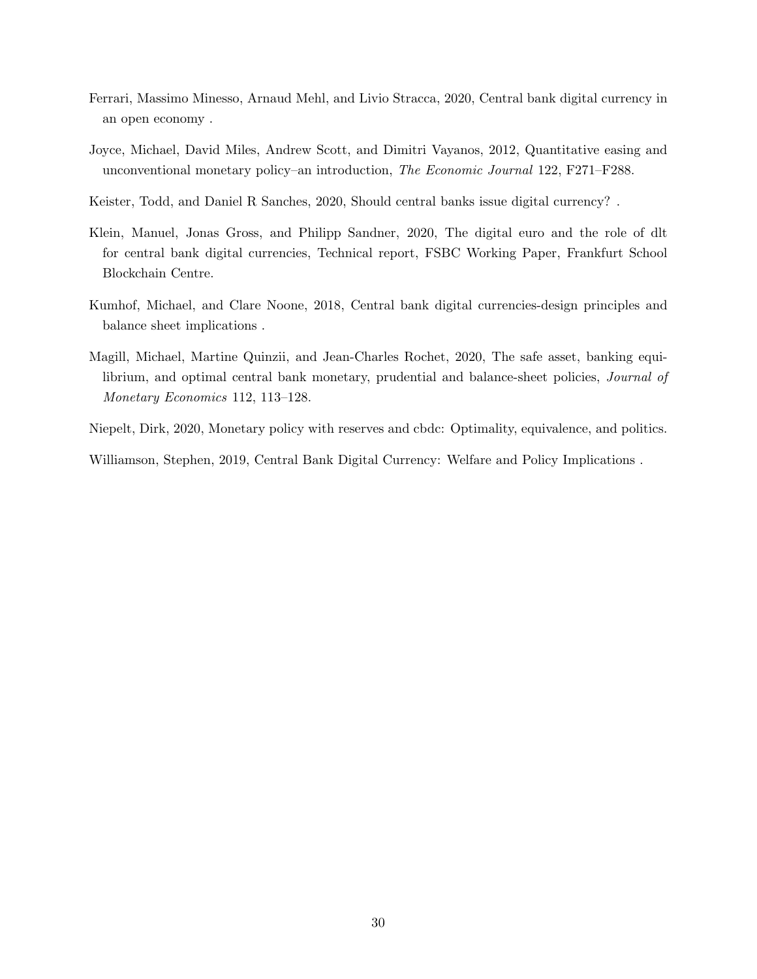- <span id="page-29-2"></span>Ferrari, Massimo Minesso, Arnaud Mehl, and Livio Stracca, 2020, Central bank digital currency in an open economy .
- <span id="page-29-7"></span>Joyce, Michael, David Miles, Andrew Scott, and Dimitri Vayanos, 2012, Quantitative easing and unconventional monetary policy–an introduction, The Economic Journal 122, F271–F288.
- <span id="page-29-3"></span>Keister, Todd, and Daniel R Sanches, 2020, Should central banks issue digital currency? .
- <span id="page-29-5"></span>Klein, Manuel, Jonas Gross, and Philipp Sandner, 2020, The digital euro and the role of dlt for central bank digital currencies, Technical report, FSBC Working Paper, Frankfurt School Blockchain Centre.
- <span id="page-29-6"></span>Kumhof, Michael, and Clare Noone, 2018, Central bank digital currencies-design principles and balance sheet implications .
- <span id="page-29-0"></span>Magill, Michael, Martine Quinzii, and Jean-Charles Rochet, 2020, The safe asset, banking equilibrium, and optimal central bank monetary, prudential and balance-sheet policies, *Journal of* Monetary Economics 112, 113–128.
- <span id="page-29-1"></span>Niepelt, Dirk, 2020, Monetary policy with reserves and cbdc: Optimality, equivalence, and politics.

<span id="page-29-4"></span>Williamson, Stephen, 2019, Central Bank Digital Currency: Welfare and Policy Implications .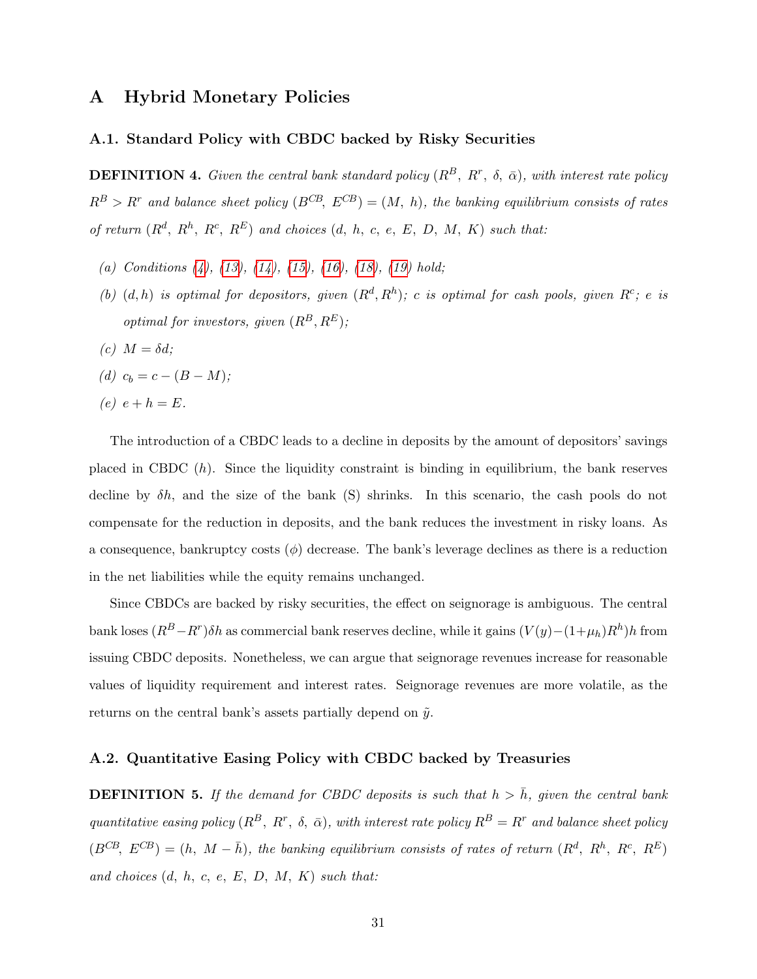# <span id="page-30-0"></span>A Hybrid Monetary Policies

#### A.1. Standard Policy with CBDC backed by Risky Securities

**DEFINITION 4.** Given the central bank standard policy  $(R^B, R^r, \delta, \bar{\alpha})$ , with interest rate policy  $R^B > R^r$  and balance sheet policy  $(B^{CB}, E^{CB}) = (M, h)$ , the banking equilibrium consists of rates of return  $(R^d, R^h, R^c, R^E)$  and choices  $(d, h, c, e, E, D, M, K)$  such that:

- (a) Conditions  $(4)$ ,  $(13)$ ,  $(14)$ ,  $(15)$ ,  $(16)$ ,  $(18)$ ,  $(19)$  hold;
- (b)  $(d, h)$  is optimal for depositors, given  $(R^d, R^h)$ ; c is optimal for cash pools, given  $R^c$ ; e is optimal for investors, given  $(R^B, R^E)$ ;
- (c)  $M = \delta d$ ;
- (d)  $c_b = c (B M);$
- (e)  $e + h = E$ .

The introduction of a CBDC leads to a decline in deposits by the amount of depositors' savings placed in CBDC  $(h)$ . Since the liquidity constraint is binding in equilibrium, the bank reserves decline by  $\delta h$ , and the size of the bank (S) shrinks. In this scenario, the cash pools do not compensate for the reduction in deposits, and the bank reduces the investment in risky loans. As a consequence, bankruptcy costs  $(\phi)$  decrease. The bank's leverage declines as there is a reduction in the net liabilities while the equity remains unchanged.

Since CBDCs are backed by risky securities, the effect on seignorage is ambiguous. The central bank loses  $(R^B - R^r)\delta h$  as commercial bank reserves decline, while it gains  $(V(y) - (1 + \mu_h)R^h)h$  from issuing CBDC deposits. Nonetheless, we can argue that seignorage revenues increase for reasonable values of liquidity requirement and interest rates. Seignorage revenues are more volatile, as the returns on the central bank's assets partially depend on  $\tilde{y}$ .

#### A.2. Quantitative Easing Policy with CBDC backed by Treasuries

**DEFINITION 5.** If the demand for CBDC deposits is such that  $h > \bar{h}$ , given the central bank quantitative easing policy  $(R^B, R^r, \delta, \bar{\alpha})$ , with interest rate policy  $R^B = R^r$  and balance sheet policy  $(B^{CB}, E^{CB}) = (h, M - \bar{h})$ , the banking equilibrium consists of rates of return  $(R^d, R^h, R^c, R^E)$ and choices  $(d, h, c, e, E, D, M, K)$  such that: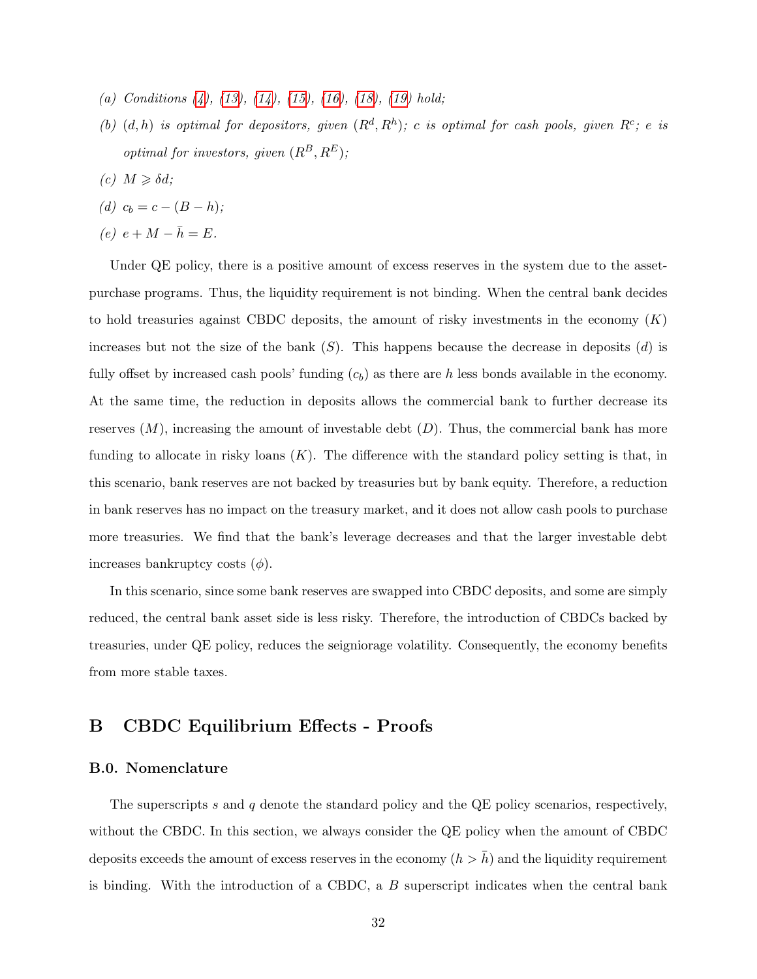- (a) Conditions  $(4)$ ,  $(13)$ ,  $(14)$ ,  $(15)$ ,  $(16)$ ,  $(18)$ ,  $(19)$  hold;
- (b)  $(d, h)$  is optimal for depositors, given  $(R^d, R^h)$ ; c is optimal for cash pools, given  $R^c$ ; e is  $\label{eq:optimal} optimal\ for\ investors,\ given\ (R^B,R^E);$
- (c)  $M \geq \delta d$ ;

$$
(d) c_b = c - (B - h);
$$

(e)  $e + M - \overline{h} = E$ .

Under QE policy, there is a positive amount of excess reserves in the system due to the assetpurchase programs. Thus, the liquidity requirement is not binding. When the central bank decides to hold treasuries against CBDC deposits, the amount of risky investments in the economy  $(K)$ increases but not the size of the bank  $(S)$ . This happens because the decrease in deposits  $(d)$  is fully offset by increased cash pools' funding  $(c_b)$  as there are h less bonds available in the economy. At the same time, the reduction in deposits allows the commercial bank to further decrease its reserves  $(M)$ , increasing the amount of investable debt  $(D)$ . Thus, the commercial bank has more funding to allocate in risky loans  $(K)$ . The difference with the standard policy setting is that, in this scenario, bank reserves are not backed by treasuries but by bank equity. Therefore, a reduction in bank reserves has no impact on the treasury market, and it does not allow cash pools to purchase more treasuries. We find that the bank's leverage decreases and that the larger investable debt increases bankruptcy costs  $(\phi)$ .

In this scenario, since some bank reserves are swapped into CBDC deposits, and some are simply reduced, the central bank asset side is less risky. Therefore, the introduction of CBDCs backed by treasuries, under QE policy, reduces the seigniorage volatility. Consequently, the economy benefits from more stable taxes.

# <span id="page-31-0"></span>B CBDC Equilibrium Effects - Proofs

#### B.0. Nomenclature

The superscripts s and q denote the standard policy and the QE policy scenarios, respectively, without the CBDC. In this section, we always consider the QE policy when the amount of CBDC deposits exceeds the amount of excess reserves in the economy  $(h > h)$  and the liquidity requirement is binding. With the introduction of a CBDC, a B superscript indicates when the central bank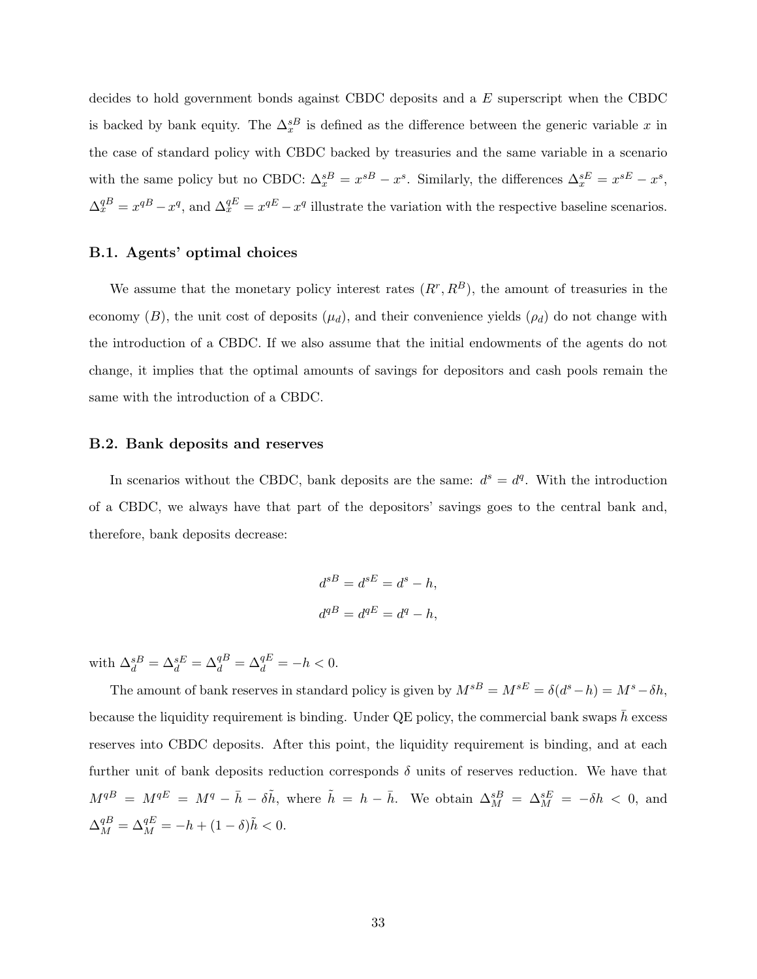decides to hold government bonds against CBDC deposits and a E superscript when the CBDC is backed by bank equity. The  $\Delta_x^{sB}$  is defined as the difference between the generic variable x in the case of standard policy with CBDC backed by treasuries and the same variable in a scenario with the same policy but no CBDC:  $\Delta_x^{sB} = x^{sB} - x^s$ . Similarly, the differences  $\Delta_x^{sE} = x^{sE} - x^s$ ,  $\Delta_x^{qB} = x^{qB} - x^q$ , and  $\Delta_x^{qE} = x^{qE} - x^q$  illustrate the variation with the respective baseline scenarios.

#### B.1. Agents' optimal choices

We assume that the monetary policy interest rates  $(R^r, R^B)$ , the amount of treasuries in the economy  $(B)$ , the unit cost of deposits  $(\mu_d)$ , and their convenience yields  $(\rho_d)$  do not change with the introduction of a CBDC. If we also assume that the initial endowments of the agents do not change, it implies that the optimal amounts of savings for depositors and cash pools remain the same with the introduction of a CBDC.

#### B.2. Bank deposits and reserves

In scenarios without the CBDC, bank deposits are the same:  $d^s = d^q$ . With the introduction of a CBDC, we always have that part of the depositors' savings goes to the central bank and, therefore, bank deposits decrease:

$$
d^{sB} = d^{sE} = d^s - h,
$$
  

$$
d^{qB} = d^{qE} = d^q - h,
$$

with  $\Delta_d^{sB} = \Delta_d^{sE} = \Delta_d^{qB} = \Delta_d^{qE} = -h < 0$ .

The amount of bank reserves in standard policy is given by  $M^{sB} = M^{sE} = \delta(d^s - h) = M^s - \delta h$ , because the liquidity requirement is binding. Under QE policy, the commercial bank swaps  $h$  excess reserves into CBDC deposits. After this point, the liquidity requirement is binding, and at each further unit of bank deposits reduction corresponds  $\delta$  units of reserves reduction. We have that  $M^{qB} = M^{qE} = M^q - \bar{h} - \delta \tilde{h}$ , where  $\tilde{h} = h - \bar{h}$ . We obtain  $\Delta_M^{sB} = \Delta_M^{sE} = -\delta h < 0$ , and  $\Delta_M^{qB} = \Delta_M^{qE} = -h + (1 - \delta)\tilde{h} < 0.$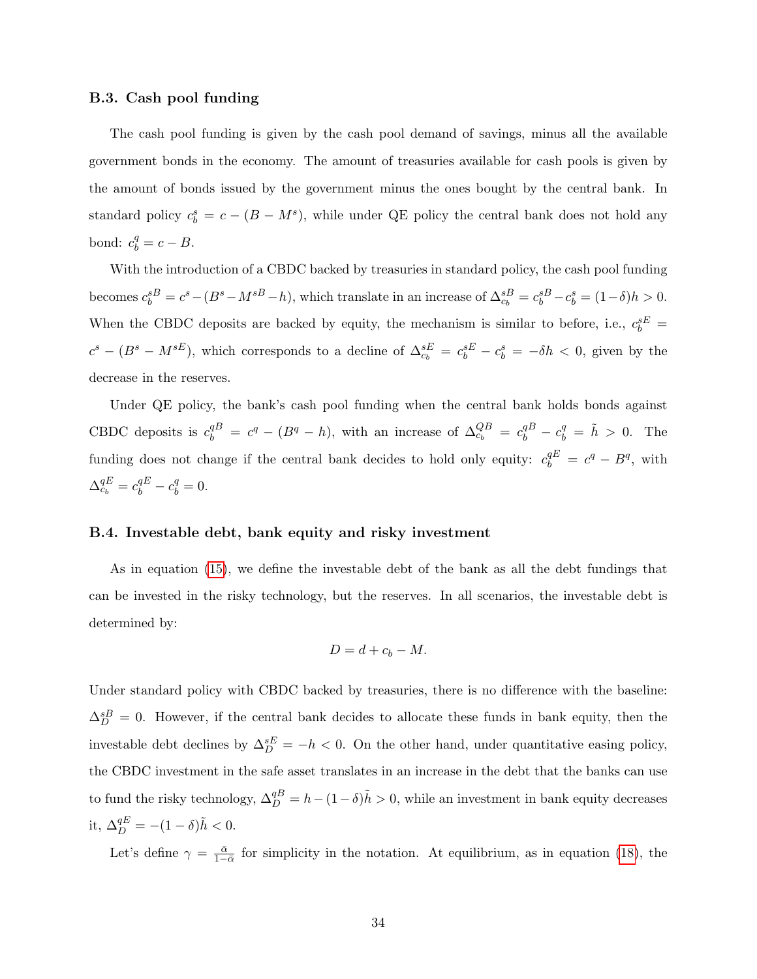#### B.3. Cash pool funding

The cash pool funding is given by the cash pool demand of savings, minus all the available government bonds in the economy. The amount of treasuries available for cash pools is given by the amount of bonds issued by the government minus the ones bought by the central bank. In standard policy  $c_b^s = c - (B - M^s)$ , while under QE policy the central bank does not hold any bond:  $c_b^q = c - B$ .

With the introduction of a CBDC backed by treasuries in standard policy, the cash pool funding becomes  $c_b^{sB} = c^s - (B^s - M^{sB} - h)$ , which translate in an increase of  $\Delta_{c_b}^{sB} = c_b^{sB} - c_b^{sB} = (1 - \delta)h > 0$ . When the CBDC deposits are backed by equity, the mechanism is similar to before, i.e.,  $c_b^{sE}$  =  $c^s - (B^s - M^{sE})$ , which corresponds to a decline of  $\Delta_{c_b}^{sE} = c_b^{sE} - c_b^s = -\delta h < 0$ , given by the decrease in the reserves.

Under QE policy, the bank's cash pool funding when the central bank holds bonds against CBDC deposits is  $c_b^{qB} = c^q - (B^q - h)$ , with an increase of  $\Delta_{c_b}^{QB} = c_b^{qB} - c_b^q = \tilde{h} > 0$ . The funding does not change if the central bank decides to hold only equity:  $c_b^{qE} = c^q - B^q$ , with  $\Delta_{c_b}^{qE} = c_b^{qE} - c_b^q = 0.$ 

#### B.4. Investable debt, bank equity and risky investment

As in equation [\(15\)](#page-15-1), we define the investable debt of the bank as all the debt fundings that can be invested in the risky technology, but the reserves. In all scenarios, the investable debt is determined by:

$$
D=d+c_b-M.
$$

Under standard policy with CBDC backed by treasuries, there is no difference with the baseline:  $\Delta_D^{sB} = 0$ . However, if the central bank decides to allocate these funds in bank equity, then the investable debt declines by  $\Delta_D^{sE} = -h < 0$ . On the other hand, under quantitative easing policy, the CBDC investment in the safe asset translates in an increase in the debt that the banks can use to fund the risky technology,  $\Delta_D^{qB} = h - (1 - \delta)\tilde{h} > 0$ , while an investment in bank equity decreases it,  $\Delta_D^{qE} = -(1 - \delta)\tilde{h} < 0.$ 

Let's define  $\gamma = \frac{\bar{\alpha}}{1-\bar{\alpha}}$  for simplicity in the notation. At equilibrium, as in equation [\(18\)](#page-15-4), the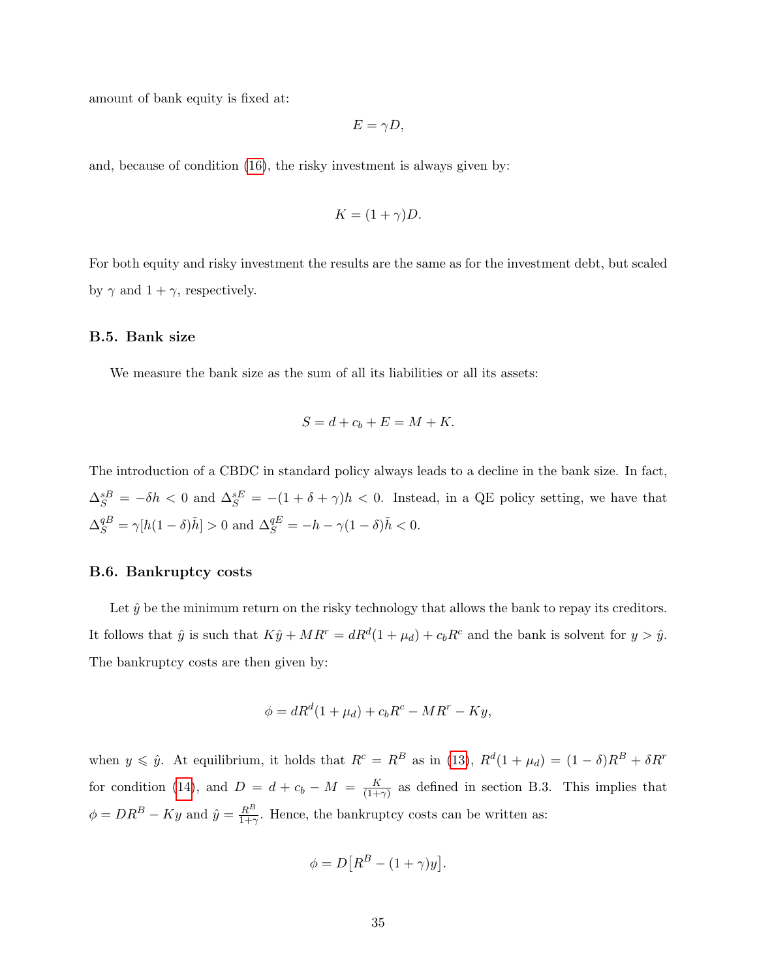amount of bank equity is fixed at:

$$
E=\gamma D,
$$

and, because of condition [\(16\)](#page-15-3), the risky investment is always given by:

$$
K = (1 + \gamma)D.
$$

For both equity and risky investment the results are the same as for the investment debt, but scaled by  $\gamma$  and  $1 + \gamma$ , respectively.

#### B.5. Bank size

We measure the bank size as the sum of all its liabilities or all its assets:

$$
S = d + c_b + E = M + K.
$$

The introduction of a CBDC in standard policy always leads to a decline in the bank size. In fact,  $\Delta_S^{sB} = -\delta h < 0$  and  $\Delta_S^{sE} = -(1 + \delta + \gamma)h < 0$ . Instead, in a QE policy setting, we have that  $\Delta_S^{qB} = \gamma[h(1-\delta)\tilde{h}] > 0$  and  $\Delta_S^{qE} = -h - \gamma(1-\delta)\tilde{h} < 0$ .

#### B.6. Bankruptcy costs

Let  $\hat{y}$  be the minimum return on the risky technology that allows the bank to repay its creditors. It follows that  $\hat{y}$  is such that  $K\hat{y} + MR^r = dR^d(1 + \mu_d) + c_b R^c$  and the bank is solvent for  $y > \hat{y}$ . The bankruptcy costs are then given by:

$$
\phi = dR^d(1 + \mu_d) + c_b R^c - MR^r - Ky,
$$

when  $y \leq \hat{y}$ . At equilibrium, it holds that  $R^c = R^B$  as in [\(13\)](#page-14-1),  $R^d(1 + \mu_d) = (1 - \delta)R^B + \delta R^r$ for condition [\(14\)](#page-14-2), and  $D = d + c_b - M = \frac{K}{(1 + c_b)}$  $\frac{K}{(1+\gamma)}$  as defined in section B.3. This implies that  $\phi = DR^B - Ky$  and  $\hat{y} = \frac{R^B}{1+r^2}$  $\frac{R^D}{1+\gamma}$ . Hence, the bankruptcy costs can be written as:

$$
\phi = D\big[R^B - (1+\gamma)y\big].
$$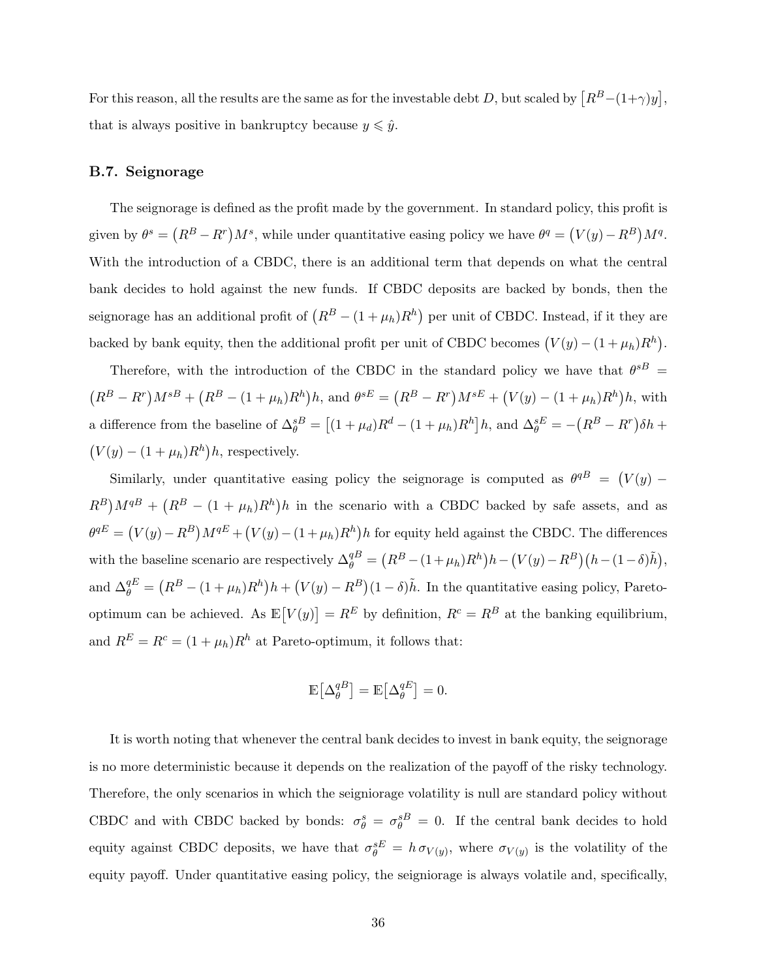For this reason, all the results are the same as for the investable debt D, but scaled by  $[R^B-(1+\gamma)y],$ that is always positive in bankruptcy because  $y\leqslant \hat{y}.$ 

#### B.7. Seignorage

The seignorage is defined as the profit made by the government. In standard policy, this profit is given by  $\theta^s = (R^B - R^r)M^s$ , while under quantitative easing policy we have  $\theta^q = (V(y) - R^B)M^q$ . With the introduction of a CBDC, there is an additional term that depends on what the central bank decides to hold against the new funds. If CBDC deposits are backed by bonds, then the seignorage has an additional profit of  $\left(R^B - (1 + \mu_h)R^h\right)$  per unit of CBDC. Instead, if it they are backed by bank equity, then the additional profit per unit of CBDC becomes  $(V(y) - (1 + \mu_h)R^h)$ .

Therefore, with the introduction of the CBDC in the standard policy we have that  $\theta^{sB}$  =  $(R^{B}-R^{r})M^{sB} + (R^{B} - (1+\mu_{h})R^{h})h$ , and  $\theta^{sE} = (R^{B}-R^{r})M^{sE} + (V(y) - (1+\mu_{h})R^{h})h$ , with a difference from the baseline of  $\Delta_{\theta}^{sB} = [(1 + \mu_d)R^d - (1 + \mu_h)R^h]h$ , and  $\Delta_{\theta}^{sE} = -(R^B - R^r)\delta h +$  $(V(y) - (1 + \mu_h)R^h)h$ , respectively.

Similarly, under quantitative easing policy the seignorage is computed as  $\theta^{qB} = (V(y) (R^B)M^{qB} + (R^B - (1 + \mu_h)R^h)h$  in the scenario with a CBDC backed by safe assets, and as  $\theta^{qE} = (V(y) - R^B)M^{qE} + (V(y) - (1 + \mu_h)R^h)h$  for equity held against the CBDC. The differences with the baseline scenario are respectively  $\Delta_{\theta}^{qB} = (R^B - (1 + \mu_h)R^h)h - (V(y) - R^B)(h - (1 - \delta)\tilde{h}),$ and  $\Delta_{\theta}^{qE} = (R^B - (1 + \mu_h)R^h)h + (V(y) - R^B)(1 - \delta)\tilde{h}$ . In the quantitative easing policy, Paretooptimum can be achieved. As  $\mathbb{E}[V(y)] = R^E$  by definition,  $R^c = R^B$  at the banking equilibrium, and  $R^E = R^c = (1 + \mu_h)R^h$  at Pareto-optimum, it follows that:

$$
\mathbb{E}\big[\Delta_{\theta}^{qB}\big]=\mathbb{E}\big[\Delta_{\theta}^{qE}\big]=0.
$$

It is worth noting that whenever the central bank decides to invest in bank equity, the seignorage is no more deterministic because it depends on the realization of the payoff of the risky technology. Therefore, the only scenarios in which the seigniorage volatility is null are standard policy without CBDC and with CBDC backed by bonds:  $\sigma_{\theta}^{s} = \sigma_{\theta}^{s} = 0$ . If the central bank decides to hold equity against CBDC deposits, we have that  $\sigma_{\theta}^{sE} = h \sigma_{V(y)}$ , where  $\sigma_{V(y)}$  is the volatility of the equity payoff. Under quantitative easing policy, the seigniorage is always volatile and, specifically,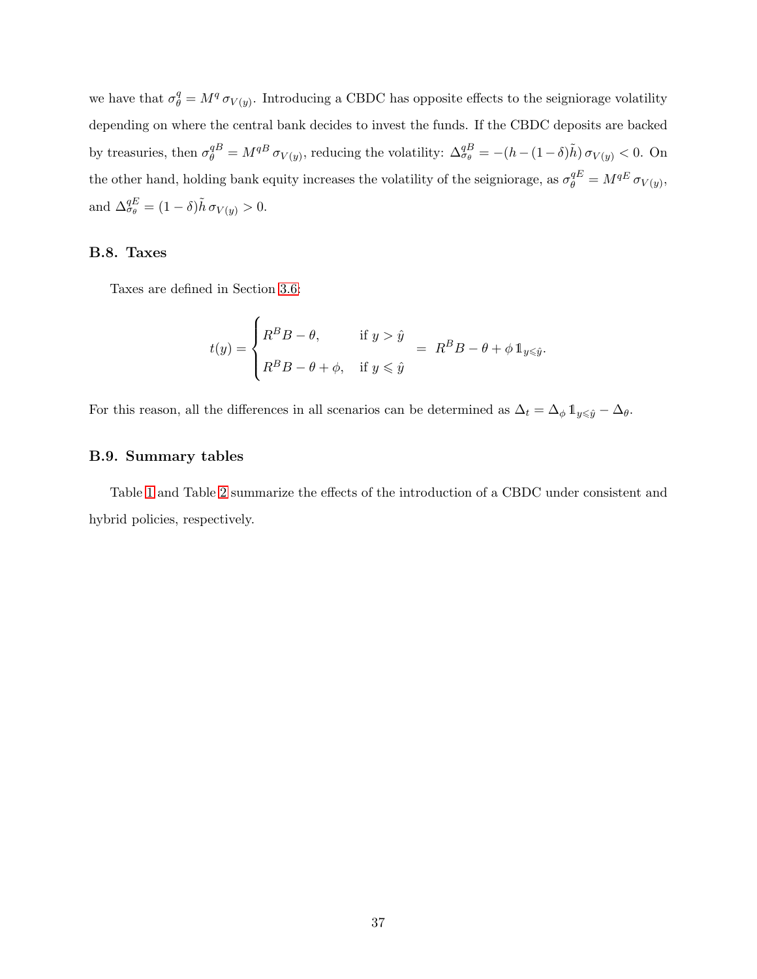we have that  $\sigma_{\theta}^q = M^q \sigma_{V(y)}$ . Introducing a CBDC has opposite effects to the seigniorage volatility depending on where the central bank decides to invest the funds. If the CBDC deposits are backed by treasuries, then  $\sigma_{\theta}^{qB} = M^{qB} \sigma_{V(y)}$ , reducing the volatility:  $\Delta_{\sigma_{\theta}}^{qB} = -(h - (1 - \delta)\tilde{h}) \sigma_{V(y)} < 0$ . On the other hand, holding bank equity increases the volatility of the seigniorage, as  $\sigma_{\theta}^{qE} = M^{qE} \sigma_{V(y)}$ , and  $\Delta_{\sigma_{\theta}}^{qE} = (1 - \delta)\tilde{h} \sigma_{V(y)} > 0.$ 

### B.8. Taxes

Taxes are defined in Section [3.6:](#page-12-0)

$$
t(y) = \begin{cases} R^{B}B - \theta, & \text{if } y > \hat{y} \\ R^{B}B - \theta + \phi, & \text{if } y \leq \hat{y} \end{cases} = R^{B}B - \theta + \phi \mathbb{1}_{y \leq \hat{y}}.
$$

For this reason, all the differences in all scenarios can be determined as  $\Delta_t = \Delta_\phi \mathbb{1}_{y \leq \hat{y}} - \Delta_\theta$ .

#### B.9. Summary tables

Table [1](#page-37-0) and Table [2](#page-37-1) summarize the effects of the introduction of a CBDC under consistent and hybrid policies, respectively.